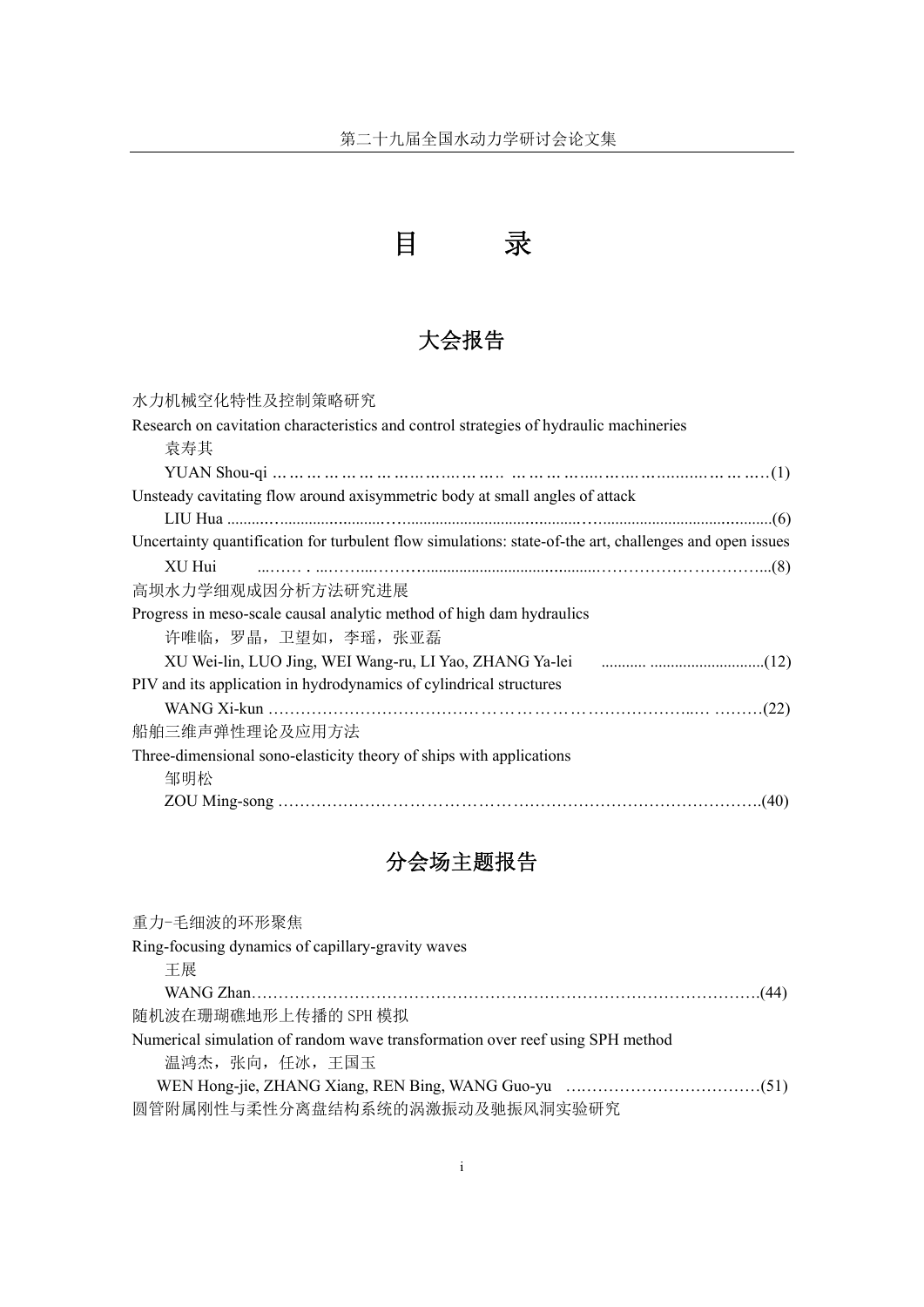

## 大会报告

| 水力机械空化特性及控制策略研究                                                                                         |  |
|---------------------------------------------------------------------------------------------------------|--|
| Research on cavitation characteristics and control strategies of hydraulic machineries                  |  |
| 袁寿其                                                                                                     |  |
|                                                                                                         |  |
| Unsteady cavitating flow around axisymmetric body at small angles of attack                             |  |
|                                                                                                         |  |
| Uncertainty quantification for turbulent flow simulations: state-of-the art, challenges and open issues |  |
| XU Hui                                                                                                  |  |
| 高坝水力学细观成因分析方法研究进展                                                                                       |  |
| Progress in meso-scale causal analytic method of high dam hydraulics                                    |  |
| 许唯临, 罗晶, 卫望如, 李瑶, 张亚磊                                                                                   |  |
|                                                                                                         |  |
| PIV and its application in hydrodynamics of cylindrical structures                                      |  |
|                                                                                                         |  |
| 船舶三维声弹性理论及应用方法                                                                                          |  |
| Three-dimensional sono-elasticity theory of ships with applications                                     |  |
| 邹明松                                                                                                     |  |
|                                                                                                         |  |

## 分会场主题报告

| 重力-毛细波的环形聚焦                                                                   |
|-------------------------------------------------------------------------------|
| Ring-focusing dynamics of capillary-gravity waves                             |
| 干展                                                                            |
|                                                                               |
| 随机波在珊瑚礁地形上传播的 SPH 模拟                                                          |
| Numerical simulation of random wave transformation over reef using SPH method |
| 温鸿杰, 张向, 任冰, 王国玉                                                              |
|                                                                               |
| 圆管附属刚性与柔性分离盘结构系统的涡激振动及驰振风洞实验研究                                                |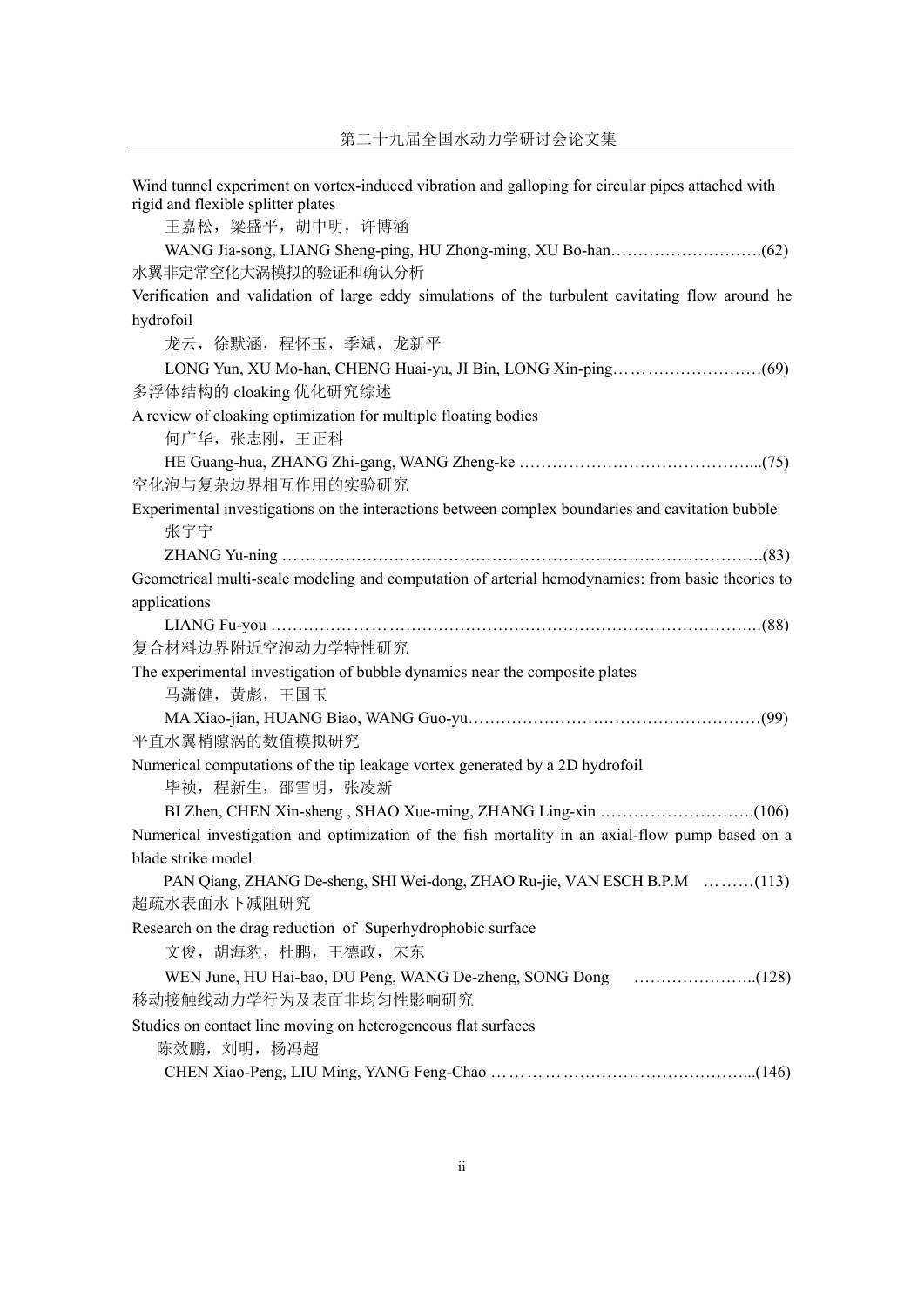Wind tunnel experiment on vortex-induced vibration and galloping for circular pipes attached with rigid and flexible splitter plates 王嘉松,粱盛平,胡中明,许博涵 WANG Jia-song, LIANG Sheng-ping, HU Zhong-ming, XU Bo-han……………………….(62) 水翼非定常空化大涡模拟的验证和确认分析 Verification and validation of large eddy simulations of the turbulent cavitating flow around he hydrofoil 龙云,徐默涵,程怀玉,季斌,龙新平 LONG Yun, XU Mo-han, CHENG Huai-yu, JI Bin, LONG Xin-ping………………………(69) 多浮体结构的 cloaking 优化研究综述 A review of cloaking optimization for multiple floating bodies 何广华,张志刚,王正科 HE Guang-hua, ZHANG Zhi-gang, WANG Zheng-ke ……………………………………...(75) 空化泡与复杂边界相互作用的实验研究 Experimental investigations on the interactions between complex boundaries and cavitation bubble 张宇宁 ZHANG Yu-ning …………………………………………………………………………….(83) Geometrical multi-scale modeling and computation of arterial hemodynamics: from basic theories to applications LIANG Fu-you ……………………………………………………………………………...(88) 复合材料边界附近空泡动力学特性研究 The experimental investigation of bubble dynamics near the composite plates 马潇健,黄彪,王国玉 MA Xiao-jian, HUANG Biao, WANG Guo-yu………………………………………………(99) 平直水翼梢隙涡的数值模拟研究 Numerical computations of the tip leakage vortex generated by a 2D hydrofoil 毕祯,程新生,邵雪明,张凌新 BI Zhen, CHEN Xin-sheng , SHAO Xue-ming, ZHANG Ling-xin ……………………….(106) Numerical investigation and optimization of the fish mortality in an axial-flow pump based on a blade strike model PAN Qiang, ZHANG De-sheng, SHI Wei-dong, ZHAO Ru-jie, VAN ESCH B.P.M ………(113) 超疏水表面水下减阻研究 Research on the drag reduction of Superhydrophobic surface 文俊,胡海豹,杜鹏,王德政,宋东 WEN June, HU Hai-bao, DU Peng, WANG De-zheng, SONG Dong …………………..(128) 移动接触线动力学行为及表面非均匀性影响研究 Studies on contact line moving on heterogeneous flat surfaces 陈效鹏, 刘明, 杨冯超 CHEN Xiao-Peng, LIU Ming, YANG Feng-Chao ………………………………………...(146)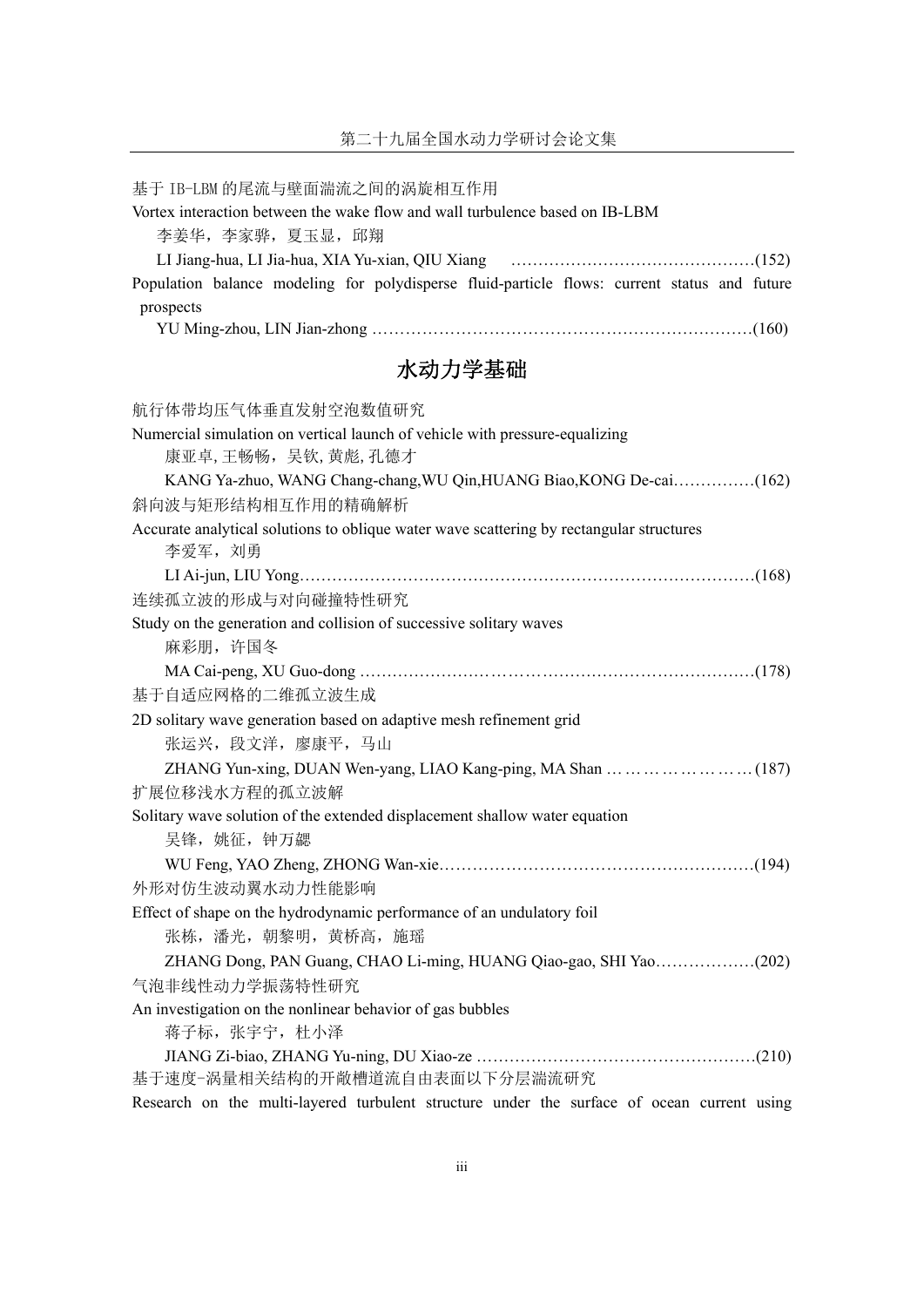| 基于 IB-LBM 的尾流与壁面湍流之间的涡旋相互作用                                                                  |
|----------------------------------------------------------------------------------------------|
| Vortex interaction between the wake flow and wall turbulence based on IB-LBM                 |
| 李姜华, 李家骅, 夏玉显, 邱翔                                                                            |
|                                                                                              |
| Population balance modeling for polydisperse fluid-particle flows: current status and future |
| prospects                                                                                    |
|                                                                                              |
| 水动力学基础                                                                                       |
| 航行体带均压气体垂直发射空泡数值研究                                                                           |
| Numercial simulation on vertical launch of vehicle with pressure-equalizing                  |
| 康亚卓,王畅畅,吴钦,黄彪,孔德才                                                                            |
| KANG Ya-zhuo, WANG Chang-chang, WU Qin, HUANG Biao, KONG De-cai(162)                         |
| 斜向波与矩形结构相互作用的精确解析                                                                            |
| Accurate analytical solutions to oblique water wave scattering by rectangular structures     |
| 李爱军, 刘勇                                                                                      |
|                                                                                              |
| 连续孤立波的形成与对向碰撞特性研究                                                                            |
| Study on the generation and collision of successive solitary waves                           |
| 麻彩朋, 许国冬                                                                                     |
|                                                                                              |
| 基于自适应网格的二维孤立波生成                                                                              |
| 2D solitary wave generation based on adaptive mesh refinement grid                           |
| 张运兴, 段文洋, 廖康平, 马山                                                                            |
|                                                                                              |
| 扩展位移浅水方程的孤立波解                                                                                |
| Solitary wave solution of the extended displacement shallow water equation                   |
| 吴锋, 姚征, 钟万勰                                                                                  |
|                                                                                              |
| 外形对仿生波动翼水动力性能影响                                                                              |
| Effect of shape on the hydrodynamic performance of an undulatory foil                        |
| 张栋,潘光,朝黎明,黄桥高,施瑶                                                                             |
|                                                                                              |
| 气泡非线性动力学振荡特性研究                                                                               |
| An investigation on the nonlinear behavior of gas bubbles                                    |
| 蒋子标, 张宇宁, 杜小泽                                                                                |
|                                                                                              |
| 基于速度-涡量相关结构的开敞槽道流自由表面以下分层湍流研究                                                                |
| Research on the multi-layered turbulent structure under the surface of ocean current using   |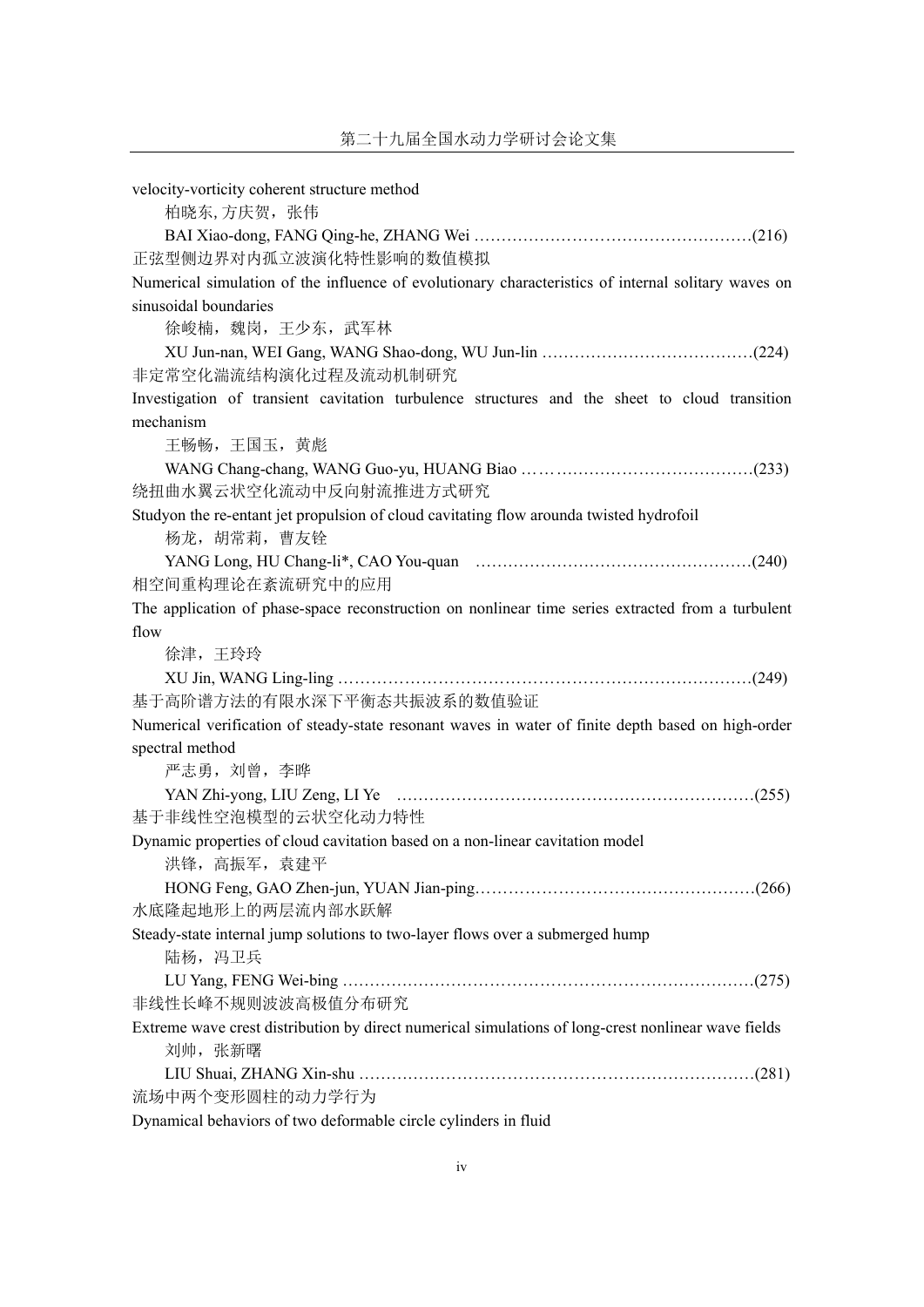| velocity-vorticity coherent structure method                                                        |
|-----------------------------------------------------------------------------------------------------|
| 柏晓东,方庆贺, 张伟                                                                                         |
|                                                                                                     |
| 正弦型侧边界对内孤立波演化特性影响的数值模拟                                                                              |
| Numerical simulation of the influence of evolutionary characteristics of internal solitary waves on |
| sinusoidal boundaries                                                                               |
| 徐峻楠, 魏岗, 王少东, 武军林                                                                                   |
|                                                                                                     |
| 非定常空化湍流结构演化过程及流动机制研究                                                                                |
| Investigation of transient cavitation turbulence structures and the sheet to cloud transition       |
| mechanism                                                                                           |
| 王畅畅, 王国玉, 黄彪                                                                                        |
|                                                                                                     |
| 绕扭曲水翼云状空化流动中反向射流推进方式研究                                                                              |
| Studyon the re-entant jet propulsion of cloud cavitating flow arounda twisted hydrofoil             |
| 杨龙, 胡常莉, 曹友铨                                                                                        |
|                                                                                                     |
| 相空间重构理论在紊流研究中的应用                                                                                    |
| The application of phase-space reconstruction on nonlinear time series extracted from a turbulent   |
| flow                                                                                                |
| 徐津, 王玲玲                                                                                             |
|                                                                                                     |
| 基于高阶谱方法的有限水深下平衡态共振波系的数值验证                                                                           |
| Numerical verification of steady-state resonant waves in water of finite depth based on high-order  |
| spectral method                                                                                     |
| 严志勇, 刘曾, 李晔                                                                                         |
|                                                                                                     |
| 基于非线性空泡模型的云状空化动力特性                                                                                  |
| Dynamic properties of cloud cavitation based on a non-linear cavitation model                       |
| 洪锋, 高振军, 袁建平                                                                                        |
|                                                                                                     |
| 水底隆起地形上的两层流内部水跃解                                                                                    |
| Steady-state internal jump solutions to two-layer flows over a submerged hump                       |
| 陆杨, 冯卫兵                                                                                             |
|                                                                                                     |
| 非线性长峰不规则波波高极值分布研究                                                                                   |
| Extreme wave crest distribution by direct numerical simulations of long-crest nonlinear wave fields |
| 刘帅, 张新曙                                                                                             |
|                                                                                                     |
| 流场中两个变形圆柱的动力学行为                                                                                     |

Dynamical behaviors of two deformable circle cylinders in fluid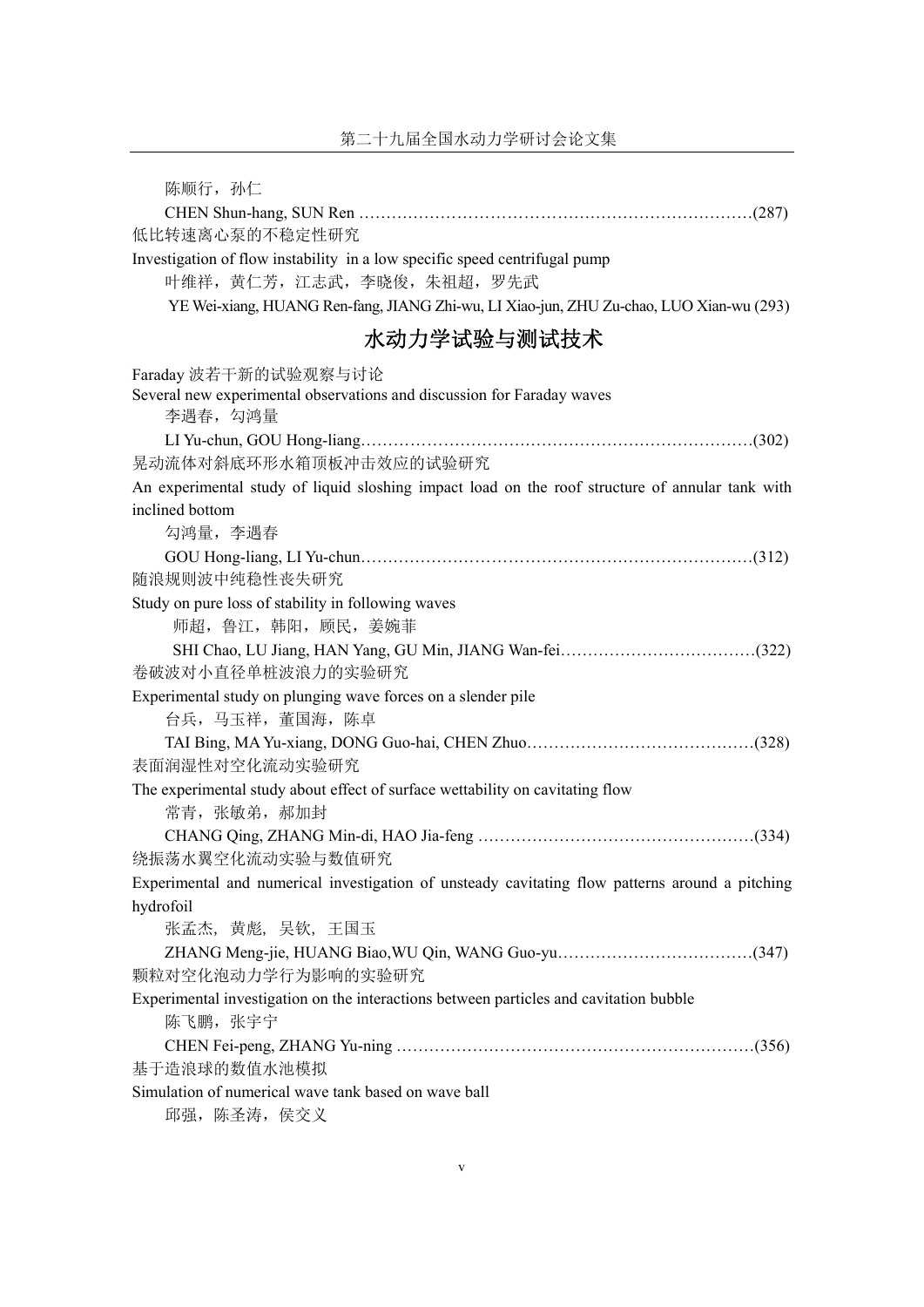| 陈顺行, 孙仁                                                                                                    |
|------------------------------------------------------------------------------------------------------------|
|                                                                                                            |
| 低比转速离心泵的不稳定性研究                                                                                             |
| Investigation of flow instability in a low specific speed centrifugal pump<br>叶维祥, 黄仁芳, 江志武, 李晓俊, 朱祖超, 罗先武 |
| YE Wei-xiang, HUANG Ren-fang, JIANG Zhi-wu, LI Xiao-jun, ZHU Zu-chao, LUO Xian-wu (293)                    |
| 水动力学试验与测试技术                                                                                                |
| Faraday 波若干新的试验观察与讨论                                                                                       |
| Several new experimental observations and discussion for Faraday waves<br>李遇春, 勾鸿量                         |
|                                                                                                            |
| 晃动流体对斜底环形水箱顶板冲击效应的试验研究                                                                                     |
| An experimental study of liquid sloshing impact load on the roof structure of annular tank with            |
| inclined bottom                                                                                            |
| 勾鸿量, 李遇春                                                                                                   |
|                                                                                                            |
| 随浪规则波中纯稳性丧失研究                                                                                              |
| Study on pure loss of stability in following waves<br>师超, 鲁江, 韩阳, 顾民, 姜婉菲                                  |
|                                                                                                            |
| 卷破波对小直径单桩波浪力的实验研究                                                                                          |
| Experimental study on plunging wave forces on a slender pile                                               |
| 台兵,马玉祥,董国海,陈卓                                                                                              |
|                                                                                                            |
| 表面润湿性对空化流动实验研究                                                                                             |
| The experimental study about effect of surface wettability on cavitating flow                              |
| 常青, 张敏弟, 郝加封                                                                                               |
|                                                                                                            |
| 绕振荡水翼空化流动实验与数值研究                                                                                           |
| Experimental and numerical investigation of unsteady cavitating flow patterns around a pitching            |
| hydrofoil                                                                                                  |
| 张孟杰, 黄彪, 吴钦, 王国玉                                                                                           |
| 颗粒对空化泡动力学行为影响的实验研究                                                                                         |
| Experimental investigation on the interactions between particles and cavitation bubble                     |
| 陈飞鹏, 张宇宁                                                                                                   |
|                                                                                                            |
| 基于造浪球的数值水池模拟                                                                                               |
| Simulation of numerical wave tank based on wave ball                                                       |
| 邱强, 陈圣涛, 侯交义                                                                                               |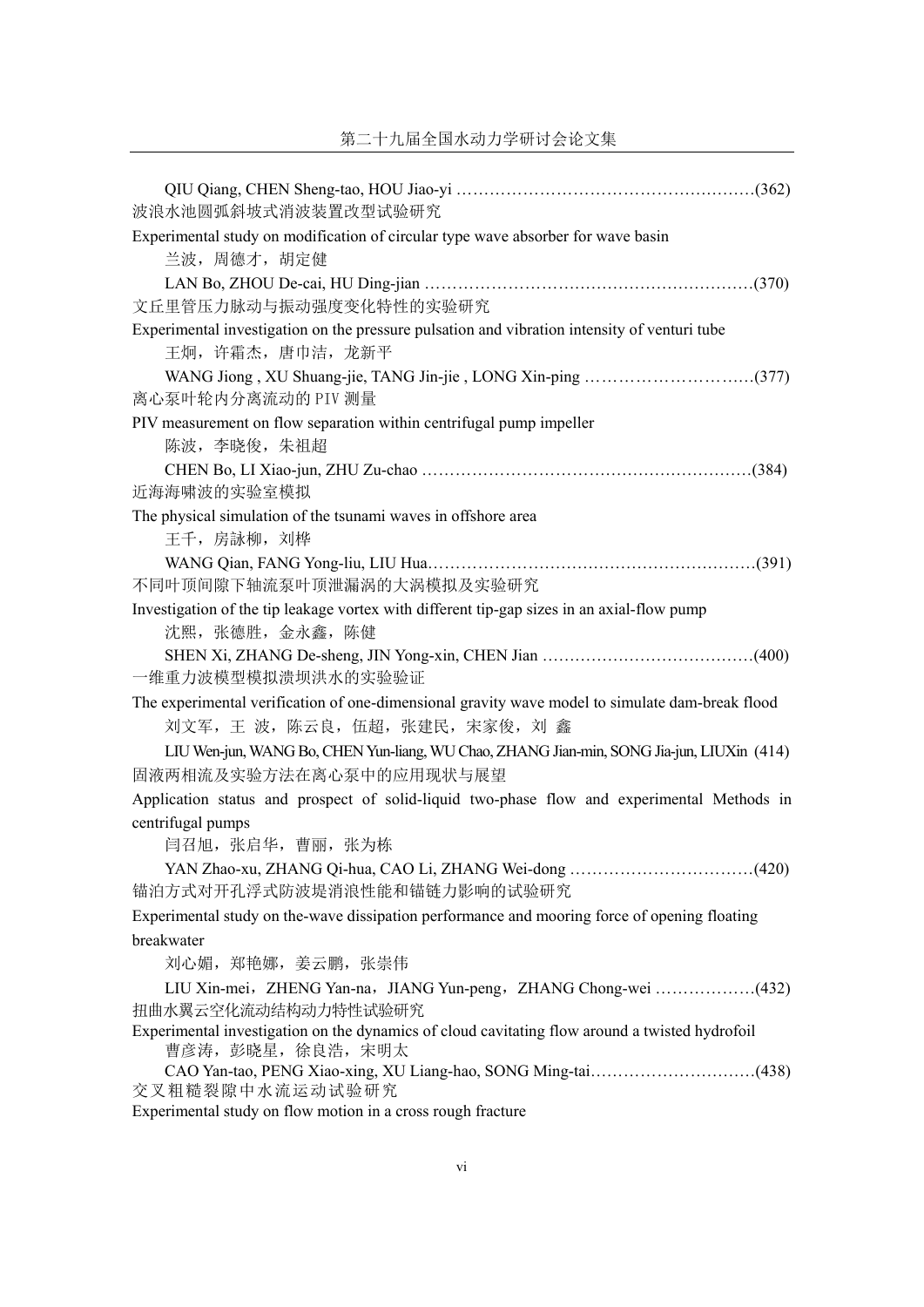| 波浪水池圆弧斜坡式消波装置改型试验研究                                                                                                                 |
|-------------------------------------------------------------------------------------------------------------------------------------|
| Experimental study on modification of circular type wave absorber for wave basin<br>兰波, 周德才, 胡定健                                    |
| 文丘里管压力脉动与振动强度变化特性的实验研究                                                                                                              |
| Experimental investigation on the pressure pulsation and vibration intensity of venturi tube<br>王炯, 许霜杰, 唐巾洁, 龙新平                   |
| 离心泵叶轮内分离流动的 PIV 测量                                                                                                                  |
| PIV measurement on flow separation within centrifugal pump impeller<br>陈波, 李晓俊, 朱祖超                                                 |
| 近海海啸波的实验室模拟                                                                                                                         |
| The physical simulation of the tsunami waves in offshore area<br>王千, 房詠柳, 刘桦                                                        |
| 不同叶顶间隙下轴流泵叶顶泄漏涡的大涡模拟及实验研究                                                                                                           |
| Investigation of the tip leakage vortex with different tip-gap sizes in an axial-flow pump<br>沈熙, 张德胜, 金永鑫, 陈健                      |
| 一维重力波模型模拟溃坝洪水的实验验证                                                                                                                  |
| The experimental verification of one-dimensional gravity wave model to simulate dam-break flood<br>刘文军, 王 波, 陈云良, 伍超, 张建民, 宋家俊, 刘 鑫 |
| LIU Wen-jun, WANG Bo, CHEN Yun-liang, WU Chao, ZHANG Jian-min, SONG Jia-jun, LIUXin (414)<br>固液两相流及实验方法在离心泵中的应用现状与展望                |
| Application status and prospect of solid-liquid two-phase flow and experimental Methods in<br>centrifugal pumps                     |
| 闫召旭, 张启华, 曹丽, 张为栋<br>YAN Zhao-xu, ZHANG Qi-hua, CAO Li, ZHANG Wei-dong<br>(420)                                                     |
| 锚泊方式对开孔浮式防波堤消浪性能和锚链力影响的试验研究<br>Experimental study on the-wave dissipation performance and mooring force of opening floating         |
| breakwater<br>刘心媚, 郑艳娜, 姜云鹏, 张崇伟                                                                                                    |
| LIU Xin-mei, ZHENG Yan-na, JIANG Yun-peng, ZHANG Chong-wei (432)<br>扭曲水翼云空化流动结构动力特性试验研究                                             |
| Experimental investigation on the dynamics of cloud cavitating flow around a twisted hydrofoil<br>曹彦涛, 彭晓星, 徐良浩, 宋明太                |
| 交叉粗糙裂隙中水流运动试验研究<br>Experimental study on flow motion in a cross rough fracture                                                      |
|                                                                                                                                     |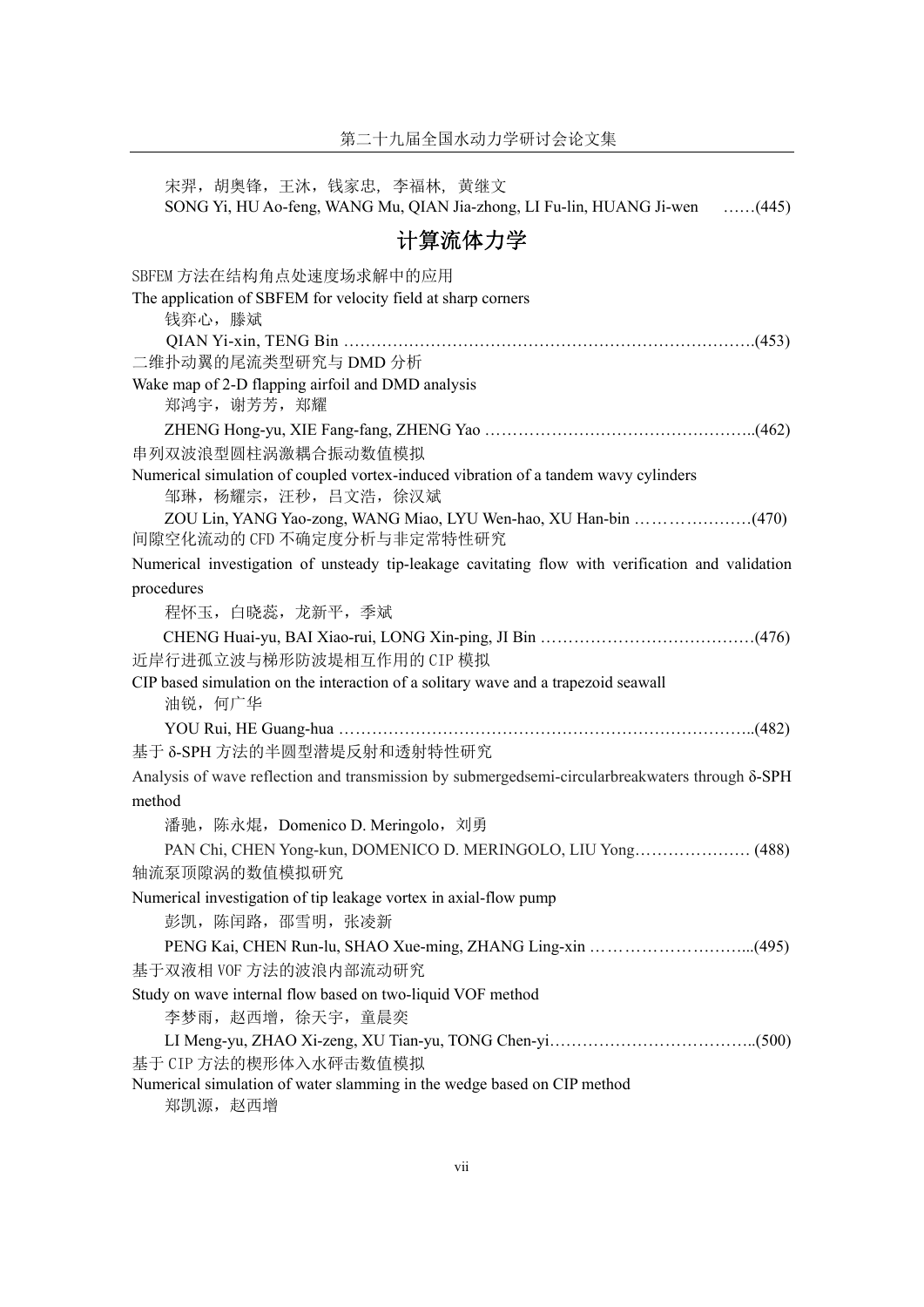宋羿,胡奥锋,王沐,钱家忠,李福林,黄继文 SONG Yi, HU Ao-feng, WANG Mu, QIAN Jia-zhong, LI Fu-lin, HUANG Ji-wen ……(445) 计算流体力学 SBFEM 方法在结构角点处速度场求解中的应用 The application of SBFEM for velocity field at sharp corners 钱弈心,滕斌 QIAN Yi-xin, TENG Bin ………………………………………………………………….(453) 二维扑动翼的尾流类型研究与 DMD 分析 Wake map of 2-D flapping airfoil and DMD analysis 郑鸿宇, 谢芳芳, 郑耀 ZHENG Hong-yu, XIE Fang-fang, ZHENG Yao …………………………………………..(462) 串列双波浪型圆柱涡激耦合振动数值模拟 Numerical simulation of coupled vortex-induced vibration of a tandem wavy cylinders 邹琳,杨耀宗,汪秒,吕文浩,徐汉斌 ZOU Lin, YANG Yao-zong, WANG Miao, LYU Wen-hao, XU Han-bin …………………(470) 间隙空化流动的 CFD 不确定度分析与非定常特性研究 Numerical investigation of unsteady tip-leakage cavitating flow with verification and validation procedures 程怀玉,白晓蕊,龙新平,季斌 CHENG Huai-yu, BAI Xiao-rui, LONG Xin-ping, JI Bin …………………………………(476) 近岸行进孤立波与梯形防波堤相互作用的 CIP 模拟 CIP based simulation on the interaction of a solitary wave and a trapezoid seawall 油锐,何广华 YOU Rui, HE Guang-hua …………………………………………………………………..(482) 基于 δ-SPH 方法的半圆型潜堤反射和透射特性研究 Analysis of wave reflection and transmission by submergedsemi-circularbreakwaters through δ-SPH method 潘驰,陈永焜,Domenico D. Meringolo,刘勇 PAN Chi, CHEN Yong-kun, DOMENICO D. MERINGOLO, LIU Yong………………… (488) 轴流泵顶隙涡的数值模拟研究 Numerical investigation of tip leakage vortex in axial-flow pump 彭凯, 陈闰路, 邵雪明, 张凌新 PENG Kai, CHEN Run-lu, SHAO Xue-ming, ZHANG Ling-xin ………………………...(495) 基于双液相 VOF 方法的波浪内部流动研究 Study on wave internal flow based on two-liquid VOF method 李梦雨,赵西增,徐天宇,童晨奕 LI Meng-yu, ZHAO Xi-zeng, XU Tian-yu, TONG Chen-yi………………………………..(500) 基于 CIP 方法的楔形体入水砰击数值模拟 Numerical simulation of water slamming in the wedge based on CIP method 郑凯源,赵西增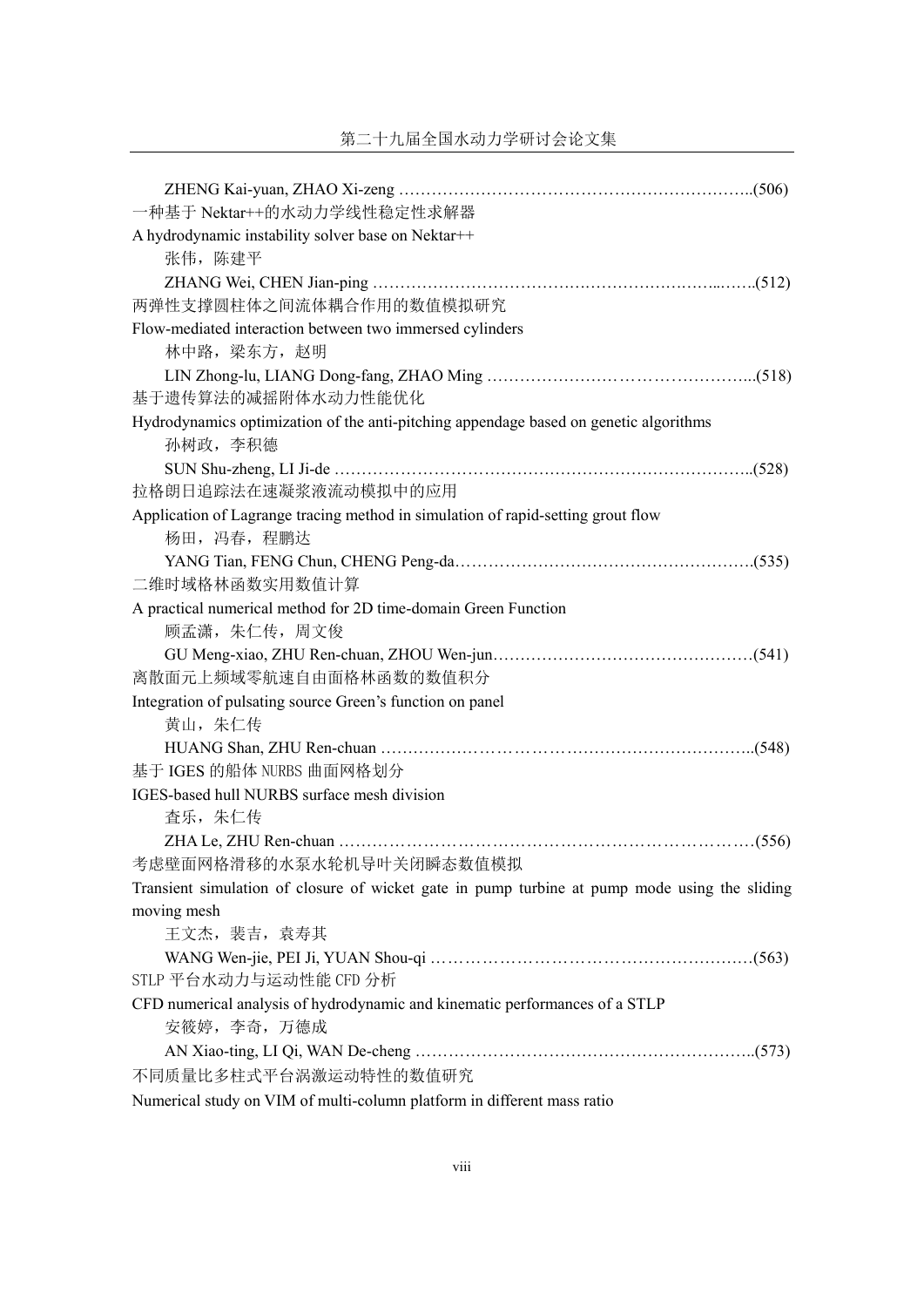| 一种基于 Nektar++的水动力学线性稳定性求解器                                                                    |
|-----------------------------------------------------------------------------------------------|
| A hydrodynamic instability solver base on Nektar++                                            |
| 张伟, 陈建平                                                                                       |
|                                                                                               |
| 两弹性支撑圆柱体之间流体耦合作用的数值模拟研究                                                                       |
| Flow-mediated interaction between two immersed cylinders                                      |
| 林中路, 梁东方, 赵明                                                                                  |
|                                                                                               |
| 基于遗传算法的减摇附体水动力性能优化                                                                            |
| Hydrodynamics optimization of the anti-pitching appendage based on genetic algorithms         |
| 孙树政, 李积德                                                                                      |
|                                                                                               |
| 拉格朗日追踪法在速凝浆液流动模拟中的应用                                                                          |
| Application of Lagrange tracing method in simulation of rapid-setting grout flow              |
| 杨田, 冯春, 程鹏达                                                                                   |
|                                                                                               |
| 二维时域格林函数实用数值计算                                                                                |
| A practical numerical method for 2D time-domain Green Function                                |
| 顾孟潇, 朱仁传, 周文俊                                                                                 |
|                                                                                               |
| 离散面元上频域零航速自由面格林函数的数值积分                                                                        |
| Integration of pulsating source Green's function on panel                                     |
| 黄山, 朱仁传                                                                                       |
|                                                                                               |
| 基于 IGES 的船体 NURBS 曲面网格划分                                                                      |
| IGES-based hull NURBS surface mesh division                                                   |
| 查乐, 朱仁传                                                                                       |
|                                                                                               |
| 考虑壁面网格滑移的水泵水轮机导叶关闭瞬态数值模拟                                                                      |
| Transient simulation of closure of wicket gate in pump turbine at pump mode using the sliding |
| moving mesh                                                                                   |
| 王文杰, 裴吉, 袁寿其                                                                                  |
|                                                                                               |
| STLP 平台水动力与运动性能 CFD 分析                                                                        |
| CFD numerical analysis of hydrodynamic and kinematic performances of a STLP                   |
| 安筱婷, 李奇, 万德成                                                                                  |
|                                                                                               |
| 不同质量比多柱式平台涡激运动特性的数值研究                                                                         |
| Numerical study on VIM of multi-column platform in different mass ratio                       |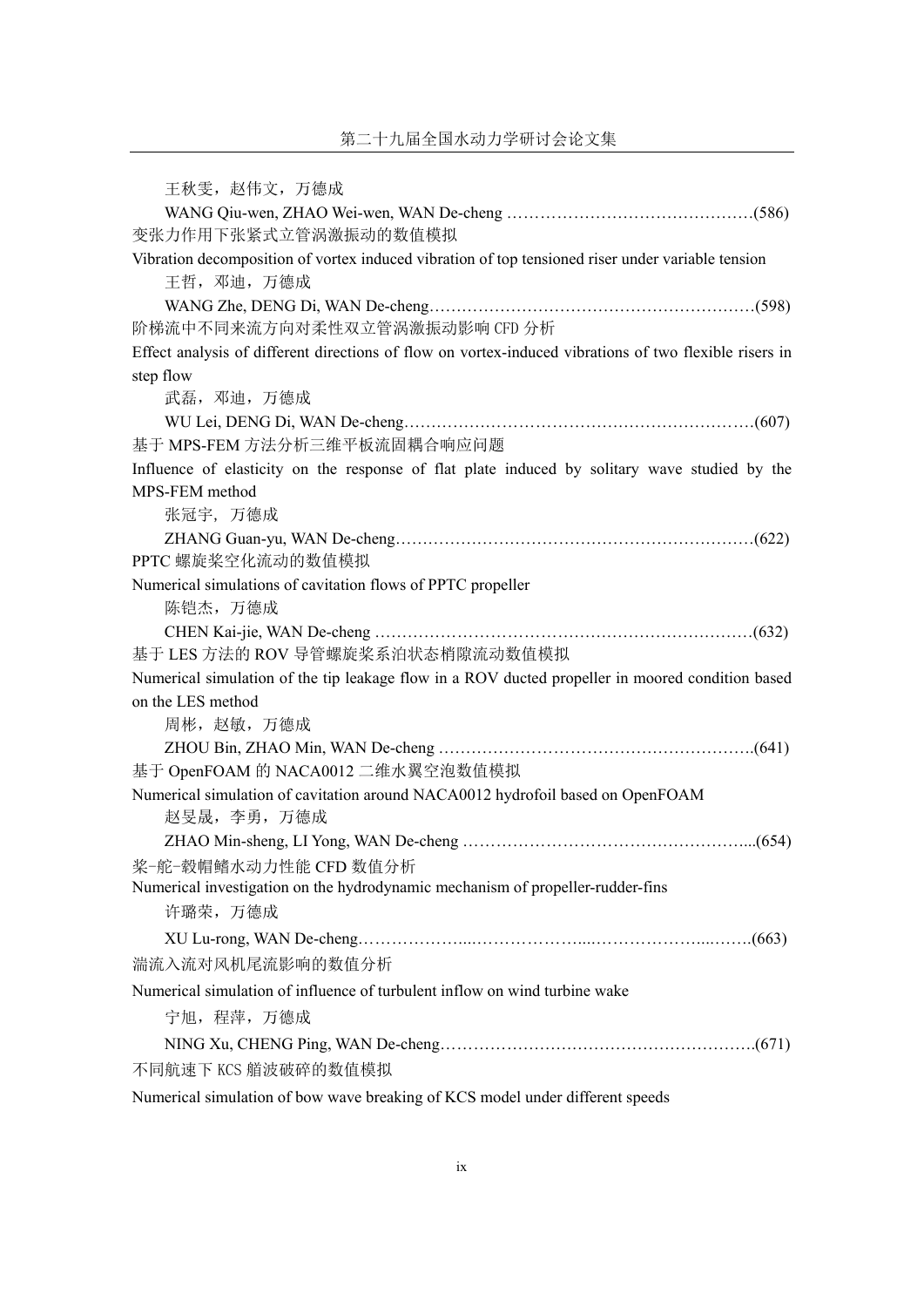| 王秋雯, 赵伟文, 万德成                                                                                                    |
|------------------------------------------------------------------------------------------------------------------|
|                                                                                                                  |
| 变张力作用下张紧式立管涡激振动的数值模拟                                                                                             |
| Vibration decomposition of vortex induced vibration of top tensioned riser under variable tension<br>王哲, 邓迪, 万德成 |
|                                                                                                                  |
| 阶梯流中不同来流方向对柔性双立管涡激振动影响 CFD 分析                                                                                    |
| Effect analysis of different directions of flow on vortex-induced vibrations of two flexible risers in           |
| step flow                                                                                                        |
| 武磊, 邓迪, 万德成                                                                                                      |
|                                                                                                                  |
| 基于 MPS-FEM 方法分析三维平板流固耦合响应问题                                                                                      |
| Influence of elasticity on the response of flat plate induced by solitary wave studied by the                    |
| MPS-FEM method                                                                                                   |
| 张冠宇,万德成                                                                                                          |
|                                                                                                                  |
| PPTC 螺旋桨空化流动的数值模拟                                                                                                |
| Numerical simulations of cavitation flows of PPTC propeller                                                      |
| 陈铠杰, 万德成                                                                                                         |
|                                                                                                                  |
| 基于 LES 方法的 ROV 导管螺旋桨系泊状态梢隙流动数值模拟                                                                                 |
| Numerical simulation of the tip leakage flow in a ROV ducted propeller in moored condition based                 |
| on the LES method                                                                                                |
| 周彬, 赵敏, 万德成                                                                                                      |
|                                                                                                                  |
| 基于 OpenFOAM 的 NACA0012 二维水翼空泡数值模拟                                                                                |
| Numerical simulation of cavitation around NACA0012 hydrofoil based on OpenFOAM                                   |
| 赵旻晟, 李勇, 万德成                                                                                                     |
|                                                                                                                  |
| 桨-舵-毂帽鳍水动力性能 CFD 数值分析                                                                                            |
| Numerical investigation on the hydrodynamic mechanism of propeller-rudder-fins                                   |
| 许璐荣, 万德成                                                                                                         |
|                                                                                                                  |
| 湍流入流对风机尾流影响的数值分析                                                                                                 |
| Numerical simulation of influence of turbulent inflow on wind turbine wake                                       |
| 宁旭, 程萍, 万德成                                                                                                      |
|                                                                                                                  |
| 不同航速下 KCS 艏波破碎的数值模拟                                                                                              |
| Numerical simulation of bow wave breaking of KCS model under different speeds                                    |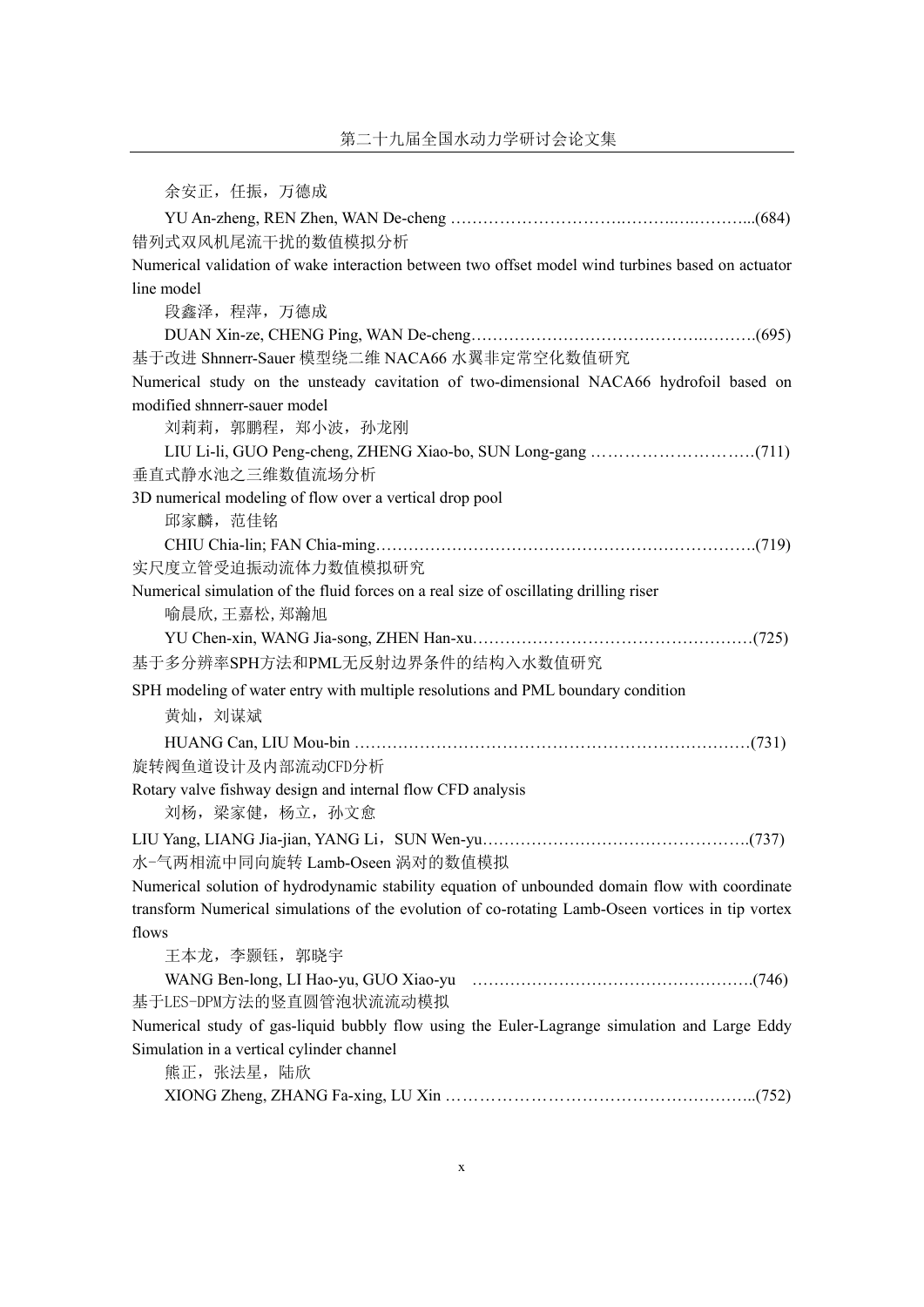| 余安正, 任振, 万德成                                                                                         |
|------------------------------------------------------------------------------------------------------|
|                                                                                                      |
| 错列式双风机尾流干扰的数值模拟分析                                                                                    |
| Numerical validation of wake interaction between two offset model wind turbines based on actuator    |
| line model                                                                                           |
| 段鑫泽, 程萍, 万德成                                                                                         |
|                                                                                                      |
| 基于改进 Shnnerr-Sauer 模型绕二维 NACA66 水翼非定常空化数值研究                                                          |
| Numerical study on the unsteady cavitation of two-dimensional NACA66 hydrofoil based on              |
| modified shnnerr-sauer model                                                                         |
| 刘莉莉, 郭鹏程, 郑小波, 孙龙刚                                                                                   |
|                                                                                                      |
| 垂直式静水池之三维数值流场分析                                                                                      |
| 3D numerical modeling of flow over a vertical drop pool                                              |
| 邱家麟, 范佳铭                                                                                             |
|                                                                                                      |
| 实尺度立管受迫振动流体力数值模拟研究                                                                                   |
| Numerical simulation of the fluid forces on a real size of oscillating drilling riser<br>喻晨欣,王嘉松,郑瀚旭 |
|                                                                                                      |
| 基于多分辨率SPH方法和PML无反射边界条件的结构入水数值研究                                                                      |
|                                                                                                      |
| SPH modeling of water entry with multiple resolutions and PML boundary condition                     |
| 黄灿, 刘谋斌                                                                                              |
|                                                                                                      |
| 旋转阀鱼道设计及内部流动CFD分析                                                                                    |
| Rotary valve fishway design and internal flow CFD analysis<br>刘杨, 梁家健, 杨立, 孙文愈                       |
|                                                                                                      |
| 水-气两相流中同向旋转 Lamb-Oseen 涡对的数值模拟                                                                       |
| Numerical solution of hydrodynamic stability equation of unbounded domain flow with coordinate       |
| transform Numerical simulations of the evolution of co-rotating Lamb-Oseen vortices in tip vortex    |
| flows                                                                                                |
| 王本龙, 李颢钰, 郭晓宇                                                                                        |
|                                                                                                      |
| 基于LES-DPM方法的竖直圆管泡状流流动模拟                                                                              |
| Numerical study of gas-liquid bubbly flow using the Euler-Lagrange simulation and Large Eddy         |
| Simulation in a vertical cylinder channel                                                            |
| 熊正, 张法星, 陆欣                                                                                          |
|                                                                                                      |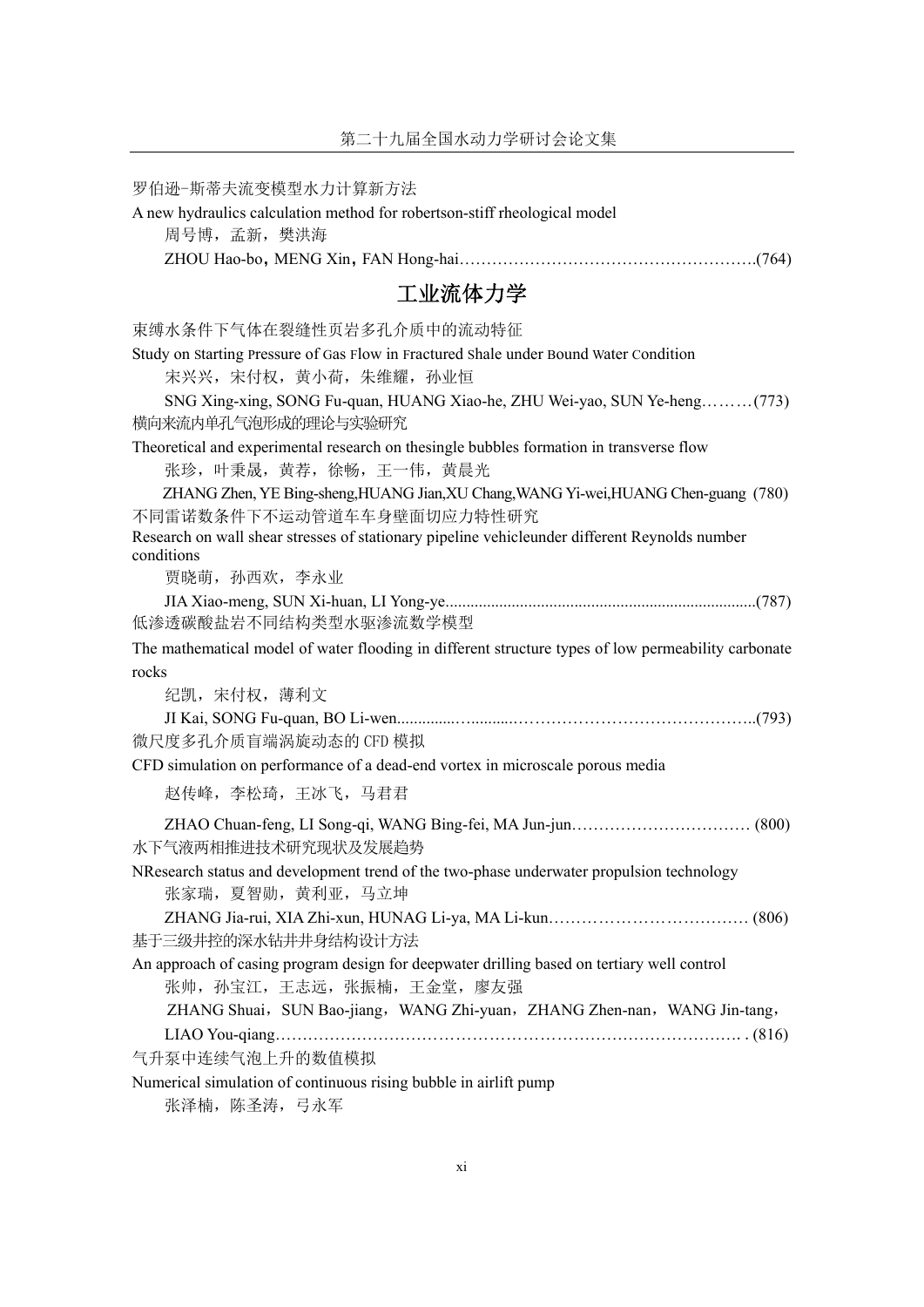| 罗伯逊-斯蒂夫流变模型水力计算新方法                                                                                                        |
|---------------------------------------------------------------------------------------------------------------------------|
| A new hydraulics calculation method for robertson-stiff rheological model                                                 |
| 周号博, 孟新, 樊洪海                                                                                                              |
|                                                                                                                           |
| 工业流体力学                                                                                                                    |
| 束缚水条件下气体在裂缝性页岩多孔介质中的流动特征                                                                                                  |
| Study on Starting Pressure of Gas Flow in Fractured Shale under Bound Water Condition                                     |
| 宋兴兴,宋付权,黄小荷,朱维耀,孙业恒                                                                                                       |
| SNG Xing-xing, SONG Fu-quan, HUANG Xiao-he, ZHU Wei-yao, SUN Ye-heng(773)<br>横向来流内单孔气泡形成的理论与实验研究                          |
| Theoretical and experimental research on thesingle bubbles formation in transverse flow<br>张珍, 叶秉晟, 黄荐, 徐畅, 王一伟, 黄晨光      |
| ZHANG Zhen, YE Bing-sheng, HUANG Jian, XU Chang, WANG Yi-wei, HUANG Chen-guang (780)<br>不同雷诺数条件下不运动管道车车身壁面切应力特性研究         |
| Research on wall shear stresses of stationary pipeline vehicleunder different Reynolds number<br>conditions               |
| 贾晓萌, 孙西欢, 李永业                                                                                                             |
| 低渗透碳酸盐岩不同结构类型水驱渗流数学模型                                                                                                     |
| The mathematical model of water flooding in different structure types of low permeability carbonate                       |
| rocks                                                                                                                     |
| 纪凯,宋付权,薄利文                                                                                                                |
|                                                                                                                           |
| 微尺度多孔介质盲端涡旋动态的 CFD 模拟                                                                                                     |
| CFD simulation on performance of a dead-end vortex in microscale porous media                                             |
| 赵传峰, 李松琦, 王冰飞, 马君君                                                                                                        |
| 水下气液两相推进技术研究现状及发展趋势                                                                                                       |
| NResearch status and development trend of the two-phase underwater propulsion technology                                  |
| 张家瑞, 夏智勋, 黄利亚, 马立坤                                                                                                        |
|                                                                                                                           |
| 基于三级井控的深水钻井井身结构设计方法                                                                                                       |
| An approach of casing program design for deepwater drilling based on tertiary well control<br>张帅, 孙宝江, 王志远, 张振楠, 王金堂, 廖友强 |
| ZHANG Shuai, SUN Bao-jiang, WANG Zhi-yuan, ZHANG Zhen-nan, WANG Jin-tang,                                                 |
|                                                                                                                           |
| 气升泵中连续气泡上升的数值模拟                                                                                                           |
| Numerical simulation of continuous rising bubble in airlift pump                                                          |
| 张泽楠, 陈圣涛, 弓永军                                                                                                             |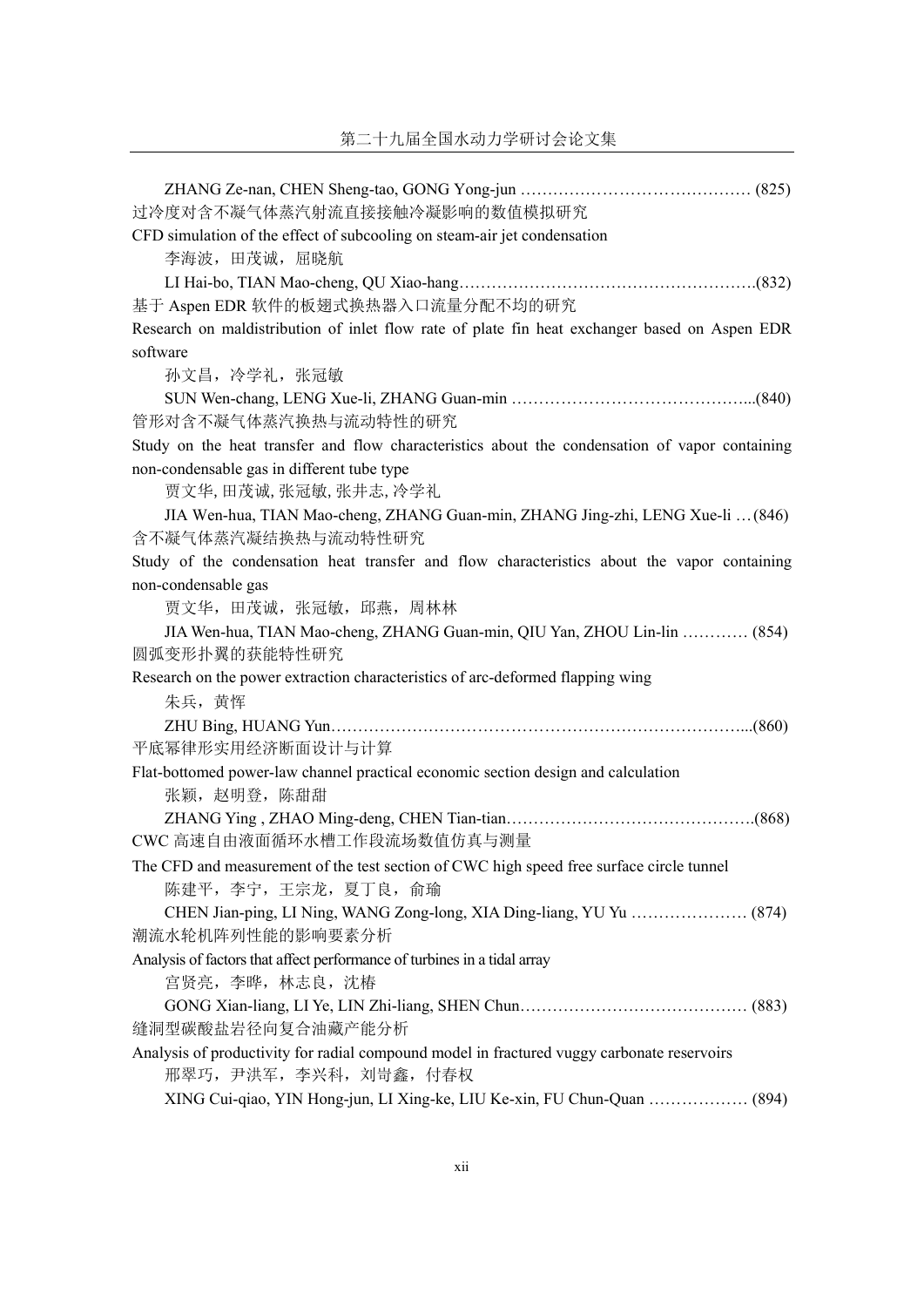| 过冷度对含不凝气体蒸汽射流直接接触冷凝影响的数值模拟研究                                                                   |
|------------------------------------------------------------------------------------------------|
| CFD simulation of the effect of subcooling on steam-air jet condensation                       |
| 李海波, 田茂诚, 屈晓航                                                                                  |
|                                                                                                |
| 基于 Aspen EDR 软件的板翅式换热器入口流量分配不均的研究                                                              |
| Research on maldistribution of inlet flow rate of plate fin heat exchanger based on Aspen EDR  |
| software                                                                                       |
| 孙文昌, 冷学礼, 张冠敏                                                                                  |
|                                                                                                |
| 管形对含不凝气体蒸汽换热与流动特性的研究                                                                           |
| Study on the heat transfer and flow characteristics about the condensation of vapor containing |
| non-condensable gas in different tube type                                                     |
| 贾文华,田茂诚,张冠敏,张井志,冷学礼                                                                            |
| JIA Wen-hua, TIAN Mao-cheng, ZHANG Guan-min, ZHANG Jing-zhi, LENG Xue-li  (846)                |
| 含不凝气体蒸汽凝结换热与流动特性研究                                                                             |
| Study of the condensation heat transfer and flow characteristics about the vapor containing    |
| non-condensable gas                                                                            |
| 贾文华, 田茂诚, 张冠敏, 邱燕, 周林林                                                                         |
| JIA Wen-hua, TIAN Mao-cheng, ZHANG Guan-min, QIU Yan, ZHOU Lin-lin  (854)                      |
| 圆弧变形扑翼的获能特性研究                                                                                  |
| Research on the power extraction characteristics of arc-deformed flapping wing                 |
| 朱兵, 黄恽                                                                                         |
|                                                                                                |
| 平底幂律形实用经济断面设计与计算                                                                               |
| Flat-bottomed power-law channel practical economic section design and calculation              |
| 张颖, 赵明登, 陈甜甜                                                                                   |
|                                                                                                |
| CWC 高速自由液面循环水槽工作段流场数值仿真与测量                                                                     |
| The CFD and measurement of the test section of CWC high speed free surface circle tunnel       |
| 陈建平, 李宁, 王宗龙, 夏丁良, 俞瑜                                                                          |
|                                                                                                |
| 潮流水轮机阵列性能的影响要素分析                                                                               |
| Analysis of factors that affect performance of turbines in a tidal array                       |
| 宫贤亮, 李晔, 林志良, 沈椿                                                                               |
|                                                                                                |
| 缝洞型碳酸盐岩径向复合油藏产能分析                                                                              |
| Analysis of productivity for radial compound model in fractured vuggy carbonate reservoirs     |
| 邢翠巧, 尹洪军, 李兴科, 刘岢鑫, 付春权                                                                        |
| XING Cui-qiao, YIN Hong-jun, LI Xing-ke, LIU Ke-xin, FU Chun-Quan  (894)                       |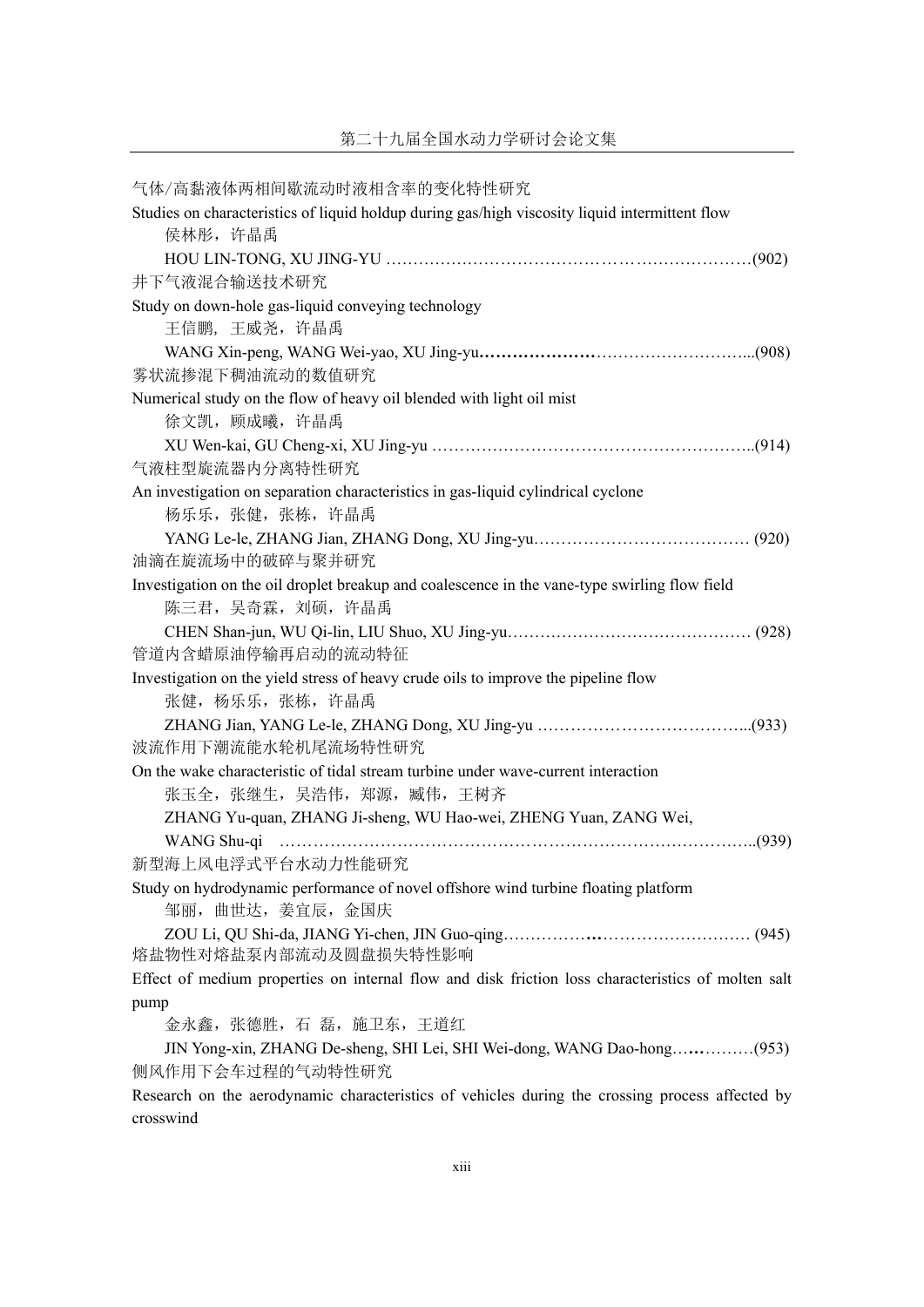| 气体/高黏液体两相间歇流动时液相含率的变化特性研究                                                                          |
|----------------------------------------------------------------------------------------------------|
| Studies on characteristics of liquid holdup during gas/high viscosity liquid intermittent flow     |
| 侯林彤, 许晶禹                                                                                           |
|                                                                                                    |
| 井下气液混合输送技术研究                                                                                       |
| Study on down-hole gas-liquid conveying technology                                                 |
| 王信鹏, 王威尧, 许晶禹                                                                                      |
|                                                                                                    |
| 雾状流掺混下稠油流动的数值研究                                                                                    |
| Numerical study on the flow of heavy oil blended with light oil mist                               |
| 徐文凯, 顾成曦, 许晶禹                                                                                      |
|                                                                                                    |
| 气液柱型旋流器内分离特性研究                                                                                     |
| An investigation on separation characteristics in gas-liquid cylindrical cyclone                   |
| 杨乐乐, 张健, 张栋, 许晶禹                                                                                   |
|                                                                                                    |
| 油滴在旋流场中的破碎与聚并研究                                                                                    |
| Investigation on the oil droplet breakup and coalescence in the vane-type swirling flow field      |
| 陈三君, 吴奇霖, 刘硕, 许晶禹                                                                                  |
|                                                                                                    |
| 管道内含蜡原油停输再启动的流动特征                                                                                  |
| Investigation on the yield stress of heavy crude oils to improve the pipeline flow                 |
| 张健, 杨乐乐, 张栋, 许晶禹                                                                                   |
|                                                                                                    |
| 波流作用下潮流能水轮机尾流场特性研究                                                                                 |
| On the wake characteristic of tidal stream turbine under wave-current interaction                  |
| 张玉全, 张继生, 吴浩伟, 郑源, 臧伟, 王树齐                                                                         |
| ZHANG Yu-quan, ZHANG Ji-sheng, WU Hao-wei, ZHENG Yuan, ZANG Wei,<br>WANG Shu-qi                    |
| 新型海上风电浮式平台水动力性能研究                                                                                  |
| Study on hydrodynamic performance of novel offshore wind turbine floating platform                 |
| 邹丽, 曲世达, 姜宜辰, 金国庆                                                                                  |
|                                                                                                    |
| 熔盐物性对熔盐泵内部流动及圆盘损失特性影响                                                                              |
| Effect of medium properties on internal flow and disk friction loss characteristics of molten salt |
| pump                                                                                               |
| 金永鑫, 张德胜, 石 磊, 施卫东, 王道红                                                                            |
| JIN Yong-xin, ZHANG De-sheng, SHI Lei, SHI Wei-dong, WANG Dao-hong(953)                            |
| 侧风作用下会车过程的气动特性研究                                                                                   |
| Research on the aerodynamic characteristics of vehicles during the crossing process affected by    |
| crosswind                                                                                          |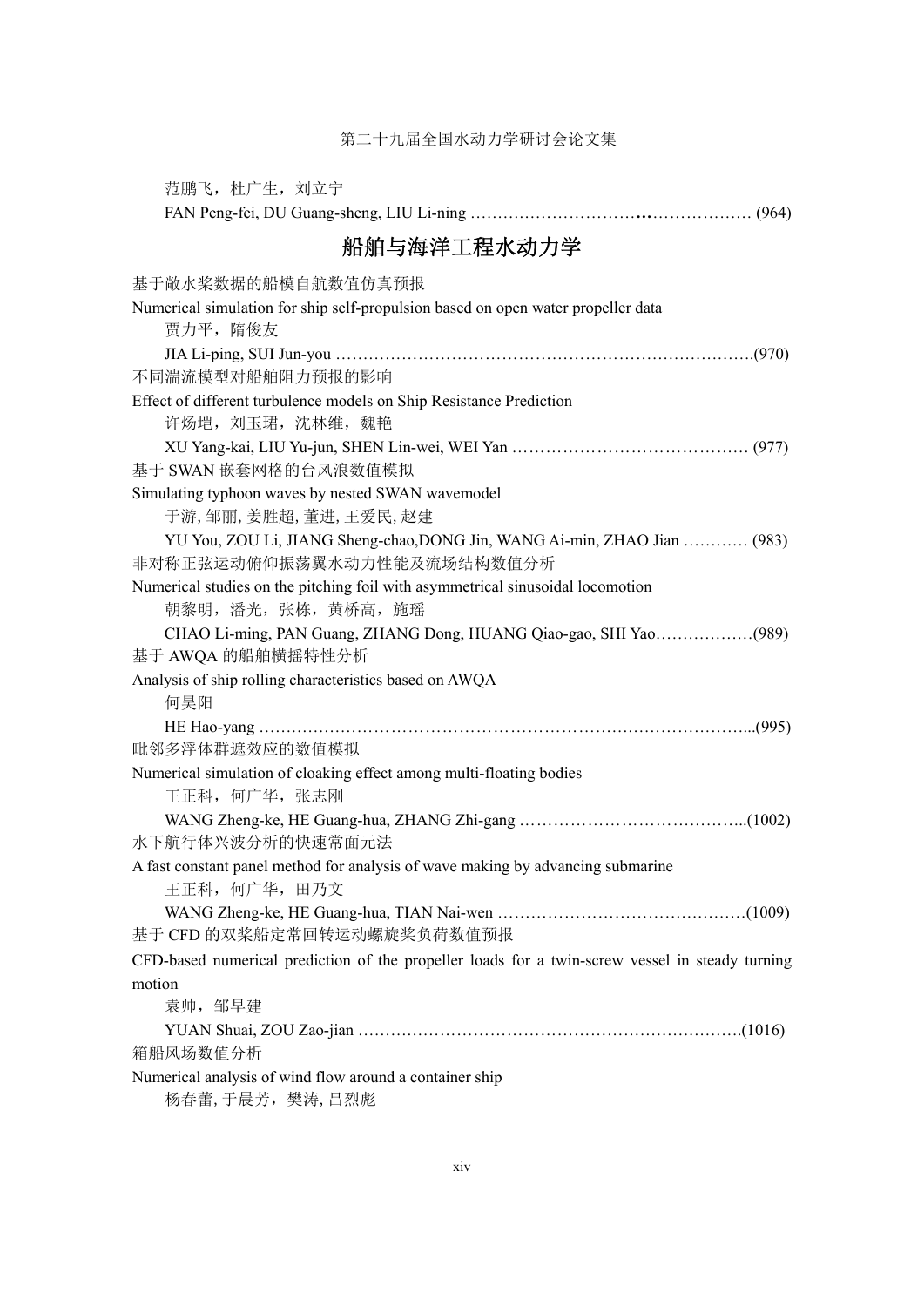范鹏飞, 杜广生, 刘立宁 FAN Peng-fei, DU Guang-sheng, LIU Li-ning …………………………**…**……………… (964) 船舶与海洋工程水动力学 基于敞水桨数据的船模自航数值仿真预报 Numerical simulation for ship self-propulsion based on open water propeller data 贾力平,隋俊友 JIA Li-ping, SUI Jun-you ………………………………………………………………….(970) 不同湍流模型对船舶阻力预报的影响 Effect of different turbulence models on Ship Resistance Prediction 许炀垲, 刘玉珺, 沈林维, 魏艳 XU Yang-kai, LIU Yu-jun, SHEN Lin-wei, WEI Yan …………………………………… (977) 基于 SWAN 嵌套网格的台风浪数值模拟 Simulating typhoon waves by nested SWAN wavemodel 于游,邹丽,姜胜超,董进,王爱民,赵建 YU You, ZOU Li, JIANG Sheng-chao,DONG Jin, WANG Ai-min, ZHAO Jian ………… (983) 非对称正弦运动俯仰振荡翼水动力性能及流场结构数值分析 Numerical studies on the pitching foil with asymmetrical sinusoidal locomotion 朝黎明,潘光,张栋,黄桥高,施瑶 CHAO Li-ming, PAN Guang, ZHANG Dong, HUANG Qiao-gao, SHI Yao………………(989) 基于 AWQA 的船舶横摇特性分析 Analysis of ship rolling characteristics based on AWQA 何昊阳 HE Hao-yang ……………………………………………………………………………...(995) 毗邻多浮体群遮效应的数值模拟 Numerical simulation of cloaking effect among multi-floating bodies 王正科,何广华,张志刚 WANG Zheng-ke, HE Guang-hua, ZHANG Zhi-gang …………………………………..(1002) 水下航行体兴波分析的快速常面元法 A fast constant panel method for analysis of wave making by advancing submarine 王正科,何广华,田乃文 WANG Zheng-ke, HE Guang-hua, TIAN Nai-wen ………………………………………(1009) 基于 CFD 的双桨船定常回转运动螺旋桨负荷数值预报 CFD-based numerical prediction of the propeller loads for a twin-screw vessel in steady turning motion 袁帅,邹早建 YUAN Shuai, ZOU Zao-jian …………………………………………………………….(1016) 箱船风场数值分析 Numerical analysis of wind flow around a container ship

杨春蕾,于晨芳,樊涛,吕烈彪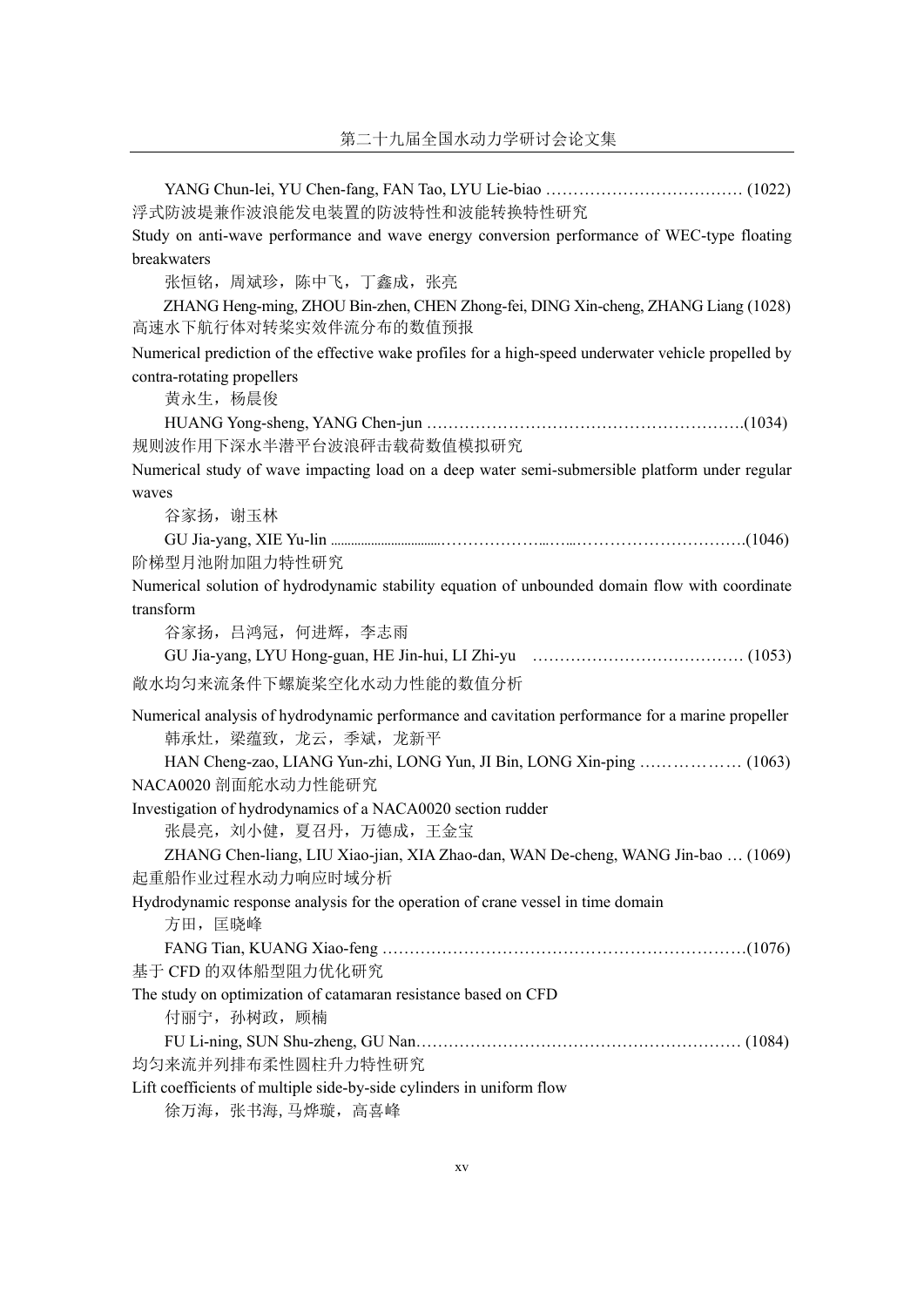| 浮式防波堤兼作波浪能发电装置的防波特性和波能转换特性研究                                                                         |
|------------------------------------------------------------------------------------------------------|
| Study on anti-wave performance and wave energy conversion performance of WEC-type floating           |
| breakwaters                                                                                          |
| 张恒铭, 周斌珍, 陈中飞, 丁鑫成, 张亮                                                                               |
| ZHANG Heng-ming, ZHOU Bin-zhen, CHEN Zhong-fei, DING Xin-cheng, ZHANG Liang (1028)                   |
| 高速水下航行体对转桨实效伴流分布的数值预报                                                                                |
| Numerical prediction of the effective wake profiles for a high-speed underwater vehicle propelled by |
| contra-rotating propellers                                                                           |
| 黄永生, 杨晨俊                                                                                             |
|                                                                                                      |
| 规则波作用下深水半潜平台波浪砰击载荷数值模拟研究                                                                             |
| Numerical study of wave impacting load on a deep water semi-submersible platform under regular       |
| waves                                                                                                |
| 谷家扬, 谢玉林                                                                                             |
|                                                                                                      |
| 阶梯型月池附加阻力特性研究                                                                                        |
| Numerical solution of hydrodynamic stability equation of unbounded domain flow with coordinate       |
| transform                                                                                            |
| 谷家扬, 吕鸿冠, 何进辉, 李志雨                                                                                   |
|                                                                                                      |
| 敞水均匀来流条件下螺旋桨空化水动力性能的数值分析                                                                             |
| Numerical analysis of hydrodynamic performance and cavitation performance for a marine propeller     |
| 韩承灶,梁蕴致,龙云,季斌,龙新平                                                                                    |
| HAN Cheng-zao, LIANG Yun-zhi, LONG Yun, JI Bin, LONG Xin-ping  (1063)                                |
| NACA0020 剖面舵水动力性能研究                                                                                  |
| Investigation of hydrodynamics of a NACA0020 section rudder                                          |
| 张晨亮, 刘小健, 夏召丹, 万德成, 王金宝                                                                              |
| ZHANG Chen-liang, LIU Xiao-jian, XIA Zhao-dan, WAN De-cheng, WANG Jin-bao  (1069)                    |
| 起重船作业过程水动力响应时域分析                                                                                     |
| Hydrodynamic response analysis for the operation of crane vessel in time domain                      |
| 方田, 匡晓峰                                                                                              |
|                                                                                                      |
| 基于 CFD 的双体船型阻力优化研究                                                                                   |
| The study on optimization of catamaran resistance based on CFD                                       |
| 付丽宁, 孙树政, 顾楠                                                                                         |
|                                                                                                      |
| 均匀来流并列排布柔性圆柱升力特性研究                                                                                   |
| Lift coefficients of multiple side-by-side cylinders in uniform flow                                 |
| 徐万海, 张书海, 马烨璇, 高喜峰                                                                                   |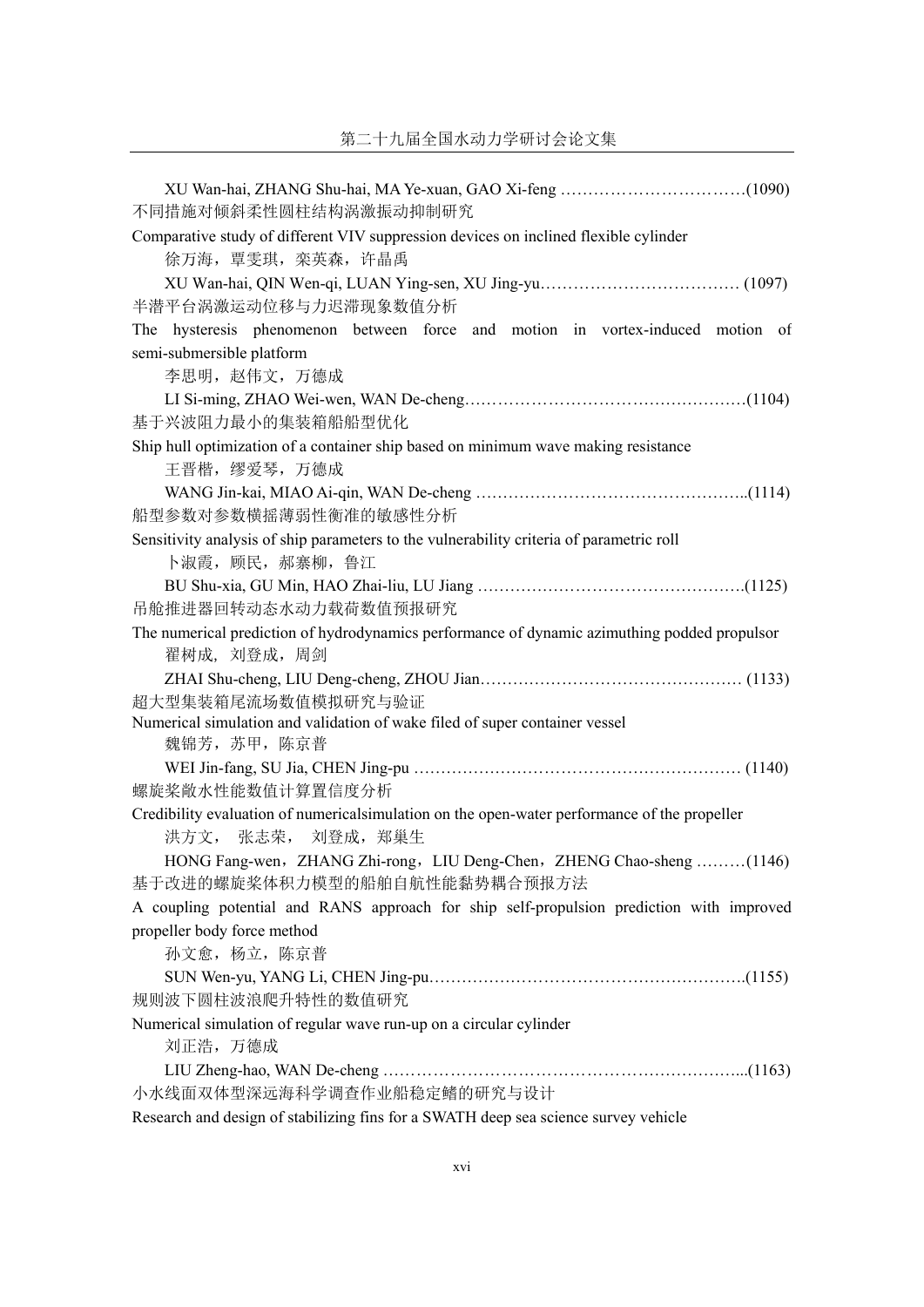| 不同措施对倾斜柔性圆柱结构涡激振动抑制研究                                                                                      |
|------------------------------------------------------------------------------------------------------------|
| Comparative study of different VIV suppression devices on inclined flexible cylinder<br>徐万海, 覃雯琪, 栾英森, 许晶禹 |
|                                                                                                            |
| 半潜平台涡激运动位移与力迟滞现象数值分析                                                                                       |
| hysteresis phenomenon between force and motion in vortex-induced motion of<br>The                          |
| semi-submersible platform                                                                                  |
| 李思明, 赵伟文, 万德成                                                                                              |
|                                                                                                            |
| 基于兴波阻力最小的集装箱船船型优化                                                                                          |
| Ship hull optimization of a container ship based on minimum wave making resistance                         |
| 王晋楷, 缪爱琴, 万德成                                                                                              |
|                                                                                                            |
| 船型参数对参数横摇薄弱性衡准的敏感性分析                                                                                       |
| Sensitivity analysis of ship parameters to the vulnerability criteria of parametric roll                   |
| 卜淑霞, 顾民, 郝寨柳, 鲁江                                                                                           |
|                                                                                                            |
| 吊舱推进器回转动态水动力载荷数值预报研究                                                                                       |
| The numerical prediction of hydrodynamics performance of dynamic azimuthing podded propulsor               |
| 翟树成, 刘登成, 周剑                                                                                               |
|                                                                                                            |
| 超大型集装箱尾流场数值模拟研究与验证                                                                                         |
| Numerical simulation and validation of wake filed of super container vessel                                |
| 魏锦芳, 苏甲, 陈京普                                                                                               |
|                                                                                                            |
| 螺旋桨敞水性能数值计算置信度分析                                                                                           |
| Credibility evaluation of numericalsimulation on the open-water performance of the propeller               |
| 洪方文, 张志荣, 刘登成, 郑巢生                                                                                         |
| HONG Fang-wen, ZHANG Zhi-rong, LIU Deng-Chen, ZHENG Chao-sheng (1146)                                      |
| 基于改进的螺旋桨体积力模型的船舶自航性能黏势耦合预报方法                                                                               |
| A coupling potential and RANS approach for ship self-propulsion prediction with improved                   |
| propeller body force method                                                                                |
| 孙文愈, 杨立, 陈京普                                                                                               |
|                                                                                                            |
| 规则波下圆柱波浪爬升特性的数值研究                                                                                          |
| Numerical simulation of regular wave run-up on a circular cylinder                                         |
| 刘正浩, 万德成                                                                                                   |
|                                                                                                            |
| 小水线面双体型深远海科学调查作业船稳定鳍的研究与设计                                                                                 |
| Research and design of stabilizing fins for a SWATH deep sea science survey vehicle                        |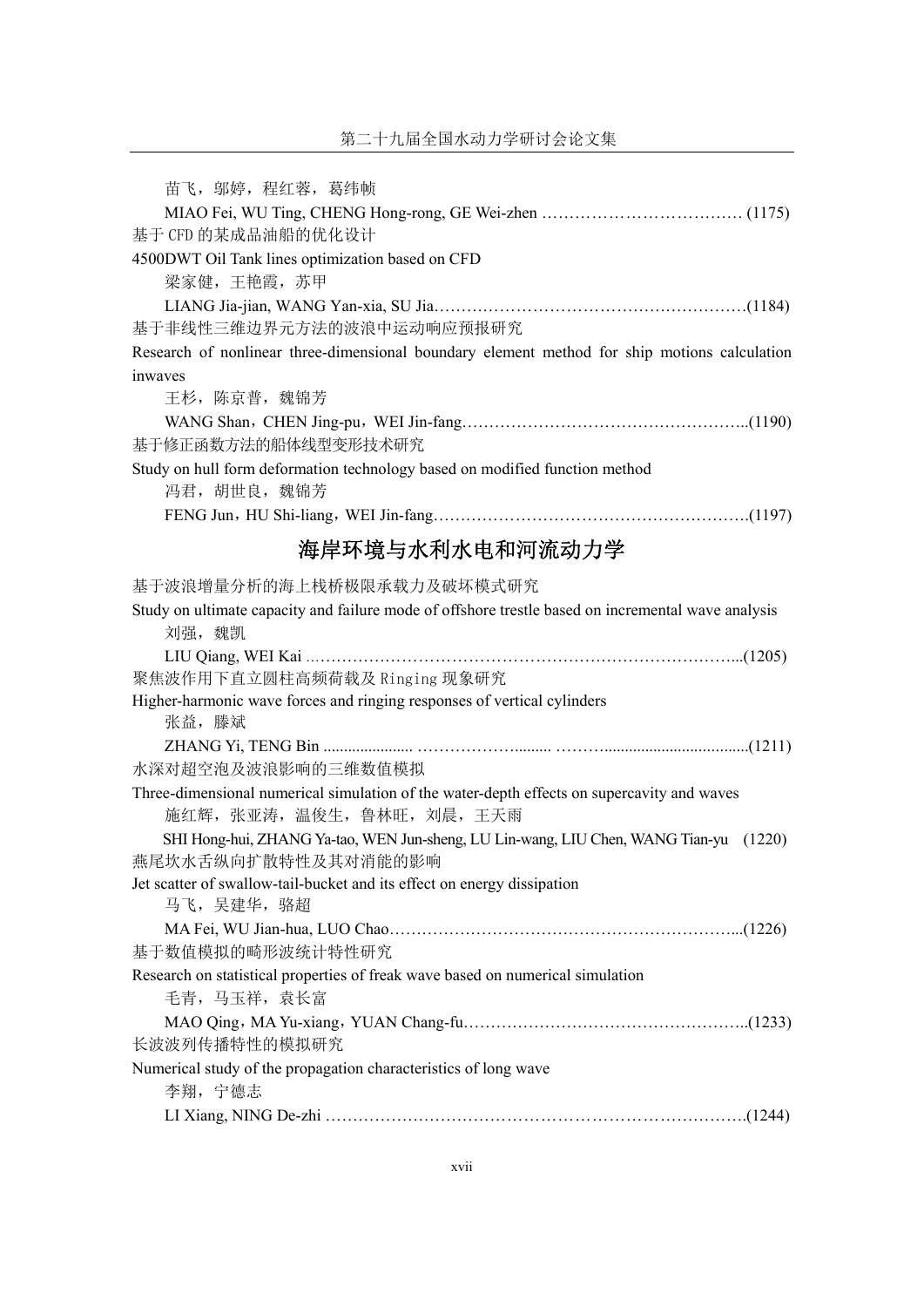| 苗飞, 邬婷, 程红蓉, 葛纬帧                                                                                   |
|----------------------------------------------------------------------------------------------------|
|                                                                                                    |
| 基于 CFD 的某成品油船的优化设计                                                                                 |
| 4500DWT Oil Tank lines optimization based on CFD                                                   |
| 梁家健,王艳霞,苏甲                                                                                         |
|                                                                                                    |
| 基于非线性三维边界元方法的波浪中运动响应预报研究                                                                           |
| Research of nonlinear three-dimensional boundary element method for ship motions calculation       |
| inwaves                                                                                            |
| 王杉, 陈京普, 魏锦芳                                                                                       |
|                                                                                                    |
| 基于修正函数方法的船体线型变形技术研究                                                                                |
| Study on hull form deformation technology based on modified function method                        |
| 冯君, 胡世良, 魏锦芳                                                                                       |
|                                                                                                    |
| 海岸环境与水利水电和河流动力学                                                                                    |
| 基于波浪增量分析的海上栈桥极限承载力及破坏模式研究                                                                          |
| Study on ultimate capacity and failure mode of offshore trestle based on incremental wave analysis |
| 刘强, 魏凯                                                                                             |
|                                                                                                    |
| 聚焦波作用下直立圆柱高频荷载及 Ringing 现象研究                                                                       |
| Higher-harmonic wave forces and ringing responses of vertical cylinders<br>张益, 滕斌                  |
|                                                                                                    |
| 水深对超空泡及波浪影响的三维数值模拟                                                                                 |
| Three-dimensional numerical simulation of the water-depth effects on supercavity and waves         |
| 施红辉, 张亚涛, 温俊生, 鲁林旺, 刘晨, 王天雨                                                                        |
| SHI Hong-hui, ZHANG Ya-tao, WEN Jun-sheng, LU Lin-wang, LIU Chen, WANG Tian-yu (1220)              |
| 燕尾坎水舌纵向扩散特性及其对消能的影响                                                                                |
| Jet scatter of swallow-tail-bucket and its effect on energy dissipation                            |
| 马飞,吴建华,骆超                                                                                          |
|                                                                                                    |
| 基于数值模拟的畸形波统计特性研究                                                                                   |
| Research on statistical properties of freak wave based on numerical simulation<br>毛青, 马玉祥, 袁长富     |
|                                                                                                    |
| 长波波列传播特性的模拟研究                                                                                      |
| Numerical study of the propagation characteristics of long wave                                    |
| 李翔, 宁德志                                                                                            |
|                                                                                                    |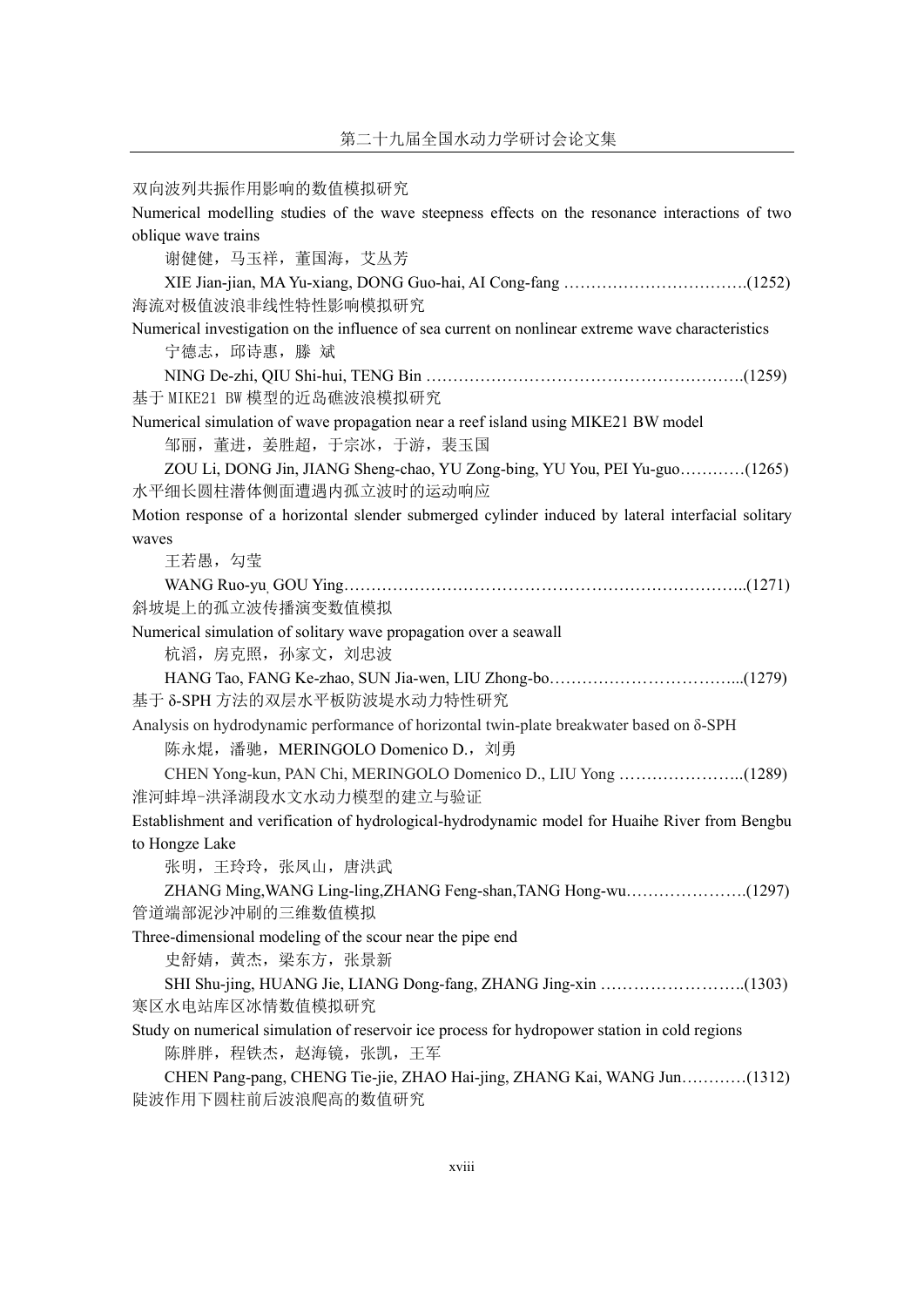双向波列共振作用影响的数值模拟研究

Numerical modelling studies of the wave steepness effects on the resonance interactions of two oblique wave trains 谢健健,马玉祥,董国海,艾丛芳 XIE Jian-jian, MA Yu-xiang, DONG Guo-hai, AI Cong-fang …………………………….(1252) 海流对极值波浪非线性特性影响模拟研究 Numerical investigation on the influence of sea current on nonlinear extreme wave characteristics 宁德志, 邱诗惠, 滕 斌 NING De-zhi, QIU Shi-hui, TENG Bin ………………………………………………….(1259) 基于 MIKE21 BW 模型的近岛礁波浪模拟研究 Numerical simulation of wave propagation near a reef island using MIKE21 BW model 邹丽,董进,姜胜超,于宗冰,于游,裴玉国 ZOU Li, DONG Jin, JIANG Sheng-chao, YU Zong-bing, YU You, PEI Yu-guo…………(1265) 水平细长圆柱潜体侧面遭遇内孤立波时的运动响应 Motion response of a horizontal slender submerged cylinder induced by lateral interfacial solitary waves 王若愚,勾莹 WANG Ruo-yu, GOU Ying………………………………………………………………..(1271) 斜坡堤上的孤立波传播演变数值模拟 Numerical simulation of solitary wave propagation over a seawall 杭滔,房克照,孙家文,刘忠波 HANG Tao, FANG Ke-zhao, SUN Jia-wen, LIU Zhong-bo……………………………...(1279) 基于 δ-SPH 方法的双层水平板防波堤水动力特性研究 Analysis on hydrodynamic performance of horizontal twin-plate breakwater based on δ-SPH 陈永焜,潘驰, MERINGOLO Domenico D., 刘勇 CHEN Yong-kun, PAN Chi, MERINGOLO Domenico D., LIU Yong …………………..(1289) 淮河蚌埠-洪泽湖段水文水动力模型的建立与验证 Establishment and verification of hydrological-hydrodynamic model for Huaihe River from Bengbu to Hongze Lake 张明,王玲玲,张凤山,唐洪武 ZHANG Ming,WANG Ling-ling,ZHANG Feng-shan,TANG Hong-wu………………….(1297) 管道端部泥沙冲刷的三维数值模拟 Three-dimensional modeling of the scour near the pipe end 史舒婧,黄杰,梁东方,张景新 SHI Shu-jing, HUANG Jie, LIANG Dong-fang, ZHANG Jing-xin ……………………..(1303) 寒区水电站库区冰情数值模拟研究 Study on numerical simulation of reservoir ice process for hydropower station in cold regions 陈胖胖,程铁杰,赵海镜,张凯,王军 CHEN Pang-pang, CHENG Tie-jie, ZHAO Hai-jing, ZHANG Kai, WANG Jun…………(1312) 陡波作用下圆柱前后波浪爬高的数值研究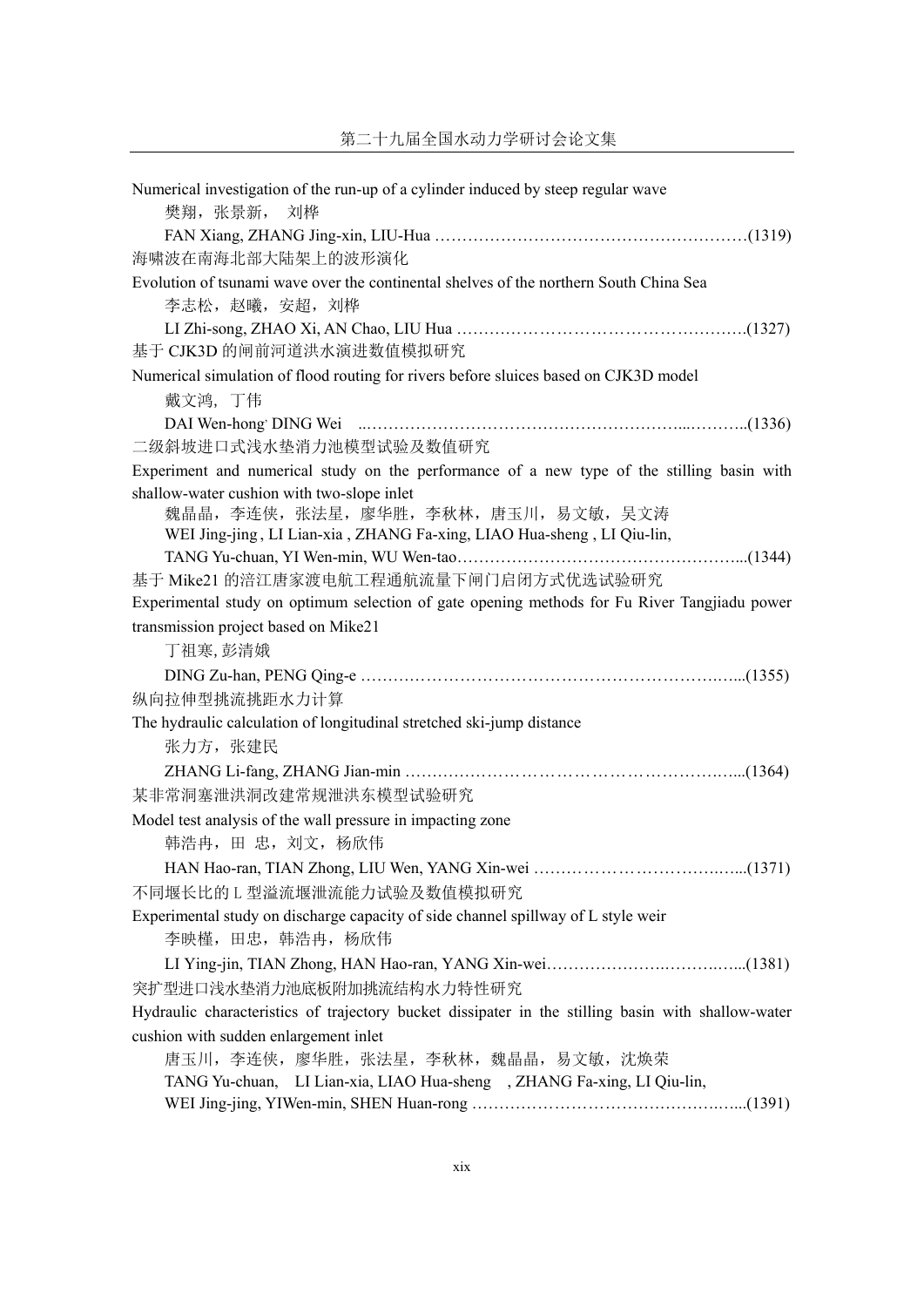| Numerical investigation of the run-up of a cylinder induced by steep regular wave<br>樊翔, 张景新, 刘桦   |
|----------------------------------------------------------------------------------------------------|
|                                                                                                    |
| 海啸波在南海北部大陆架上的波形演化                                                                                  |
| Evolution of tsunami wave over the continental shelves of the northern South China Sea             |
| 李志松,赵曦,安超,刘桦                                                                                       |
| 基于 CJK3D 的闸前河道洪水演进数值模拟研究                                                                           |
| Numerical simulation of flood routing for rivers before sluices based on CJK3D model               |
| 戴文鸿, 丁伟                                                                                            |
|                                                                                                    |
| 二级斜坡进口式浅水垫消力池模型试验及数值研究                                                                             |
| Experiment and numerical study on the performance of a new type of the stilling basin with         |
| shallow-water cushion with two-slope inlet                                                         |
| 魏晶晶,李连侠,张法星,廖华胜,李秋林,唐玉川,易文敏,吴文涛                                                                    |
| WEI Jing-jing, LI Lian-xia, ZHANG Fa-xing, LIAO Hua-sheng, LI Qiu-lin,                             |
| 基于 Mike21 的涪江唐家渡电航工程通航流量下闸门启闭方式优选试验研究                                                              |
| Experimental study on optimum selection of gate opening methods for Fu River Tangjiadu power       |
| transmission project based on Mike21                                                               |
| 丁祖寒,彭清娥                                                                                            |
|                                                                                                    |
| 纵向拉伸型挑流挑距水力计算                                                                                      |
| The hydraulic calculation of longitudinal stretched ski-jump distance                              |
| 张力方, 张建民                                                                                           |
|                                                                                                    |
| 某非常洞塞泄洪洞改建常规泄洪东模型试验研究                                                                              |
| Model test analysis of the wall pressure in impacting zone                                         |
| 韩浩冉, 田 忠, 刘文, 杨欣伟                                                                                  |
|                                                                                                    |
| 不同堰长比的 L 型溢流堰泄流能力试验及数值模拟研究                                                                         |
| Experimental study on discharge capacity of side channel spillway of L style weir                  |
| 李映槿, 田忠, 韩浩冉, 杨欣伟                                                                                  |
|                                                                                                    |
| 突扩型进口浅水垫消力池底板附加挑流结构水力特性研究                                                                          |
| Hydraulic characteristics of trajectory bucket dissipater in the stilling basin with shallow-water |
| cushion with sudden enlargement inlet                                                              |
| 唐玉川, 李连侠, 廖华胜, 张法星, 李秋林, 魏晶晶, 易文敏, 沈焕荣                                                             |
| TANG Yu-chuan, LI Lian-xia, LIAO Hua-sheng, ZHANG Fa-xing, LI Qiu-lin,                             |
|                                                                                                    |